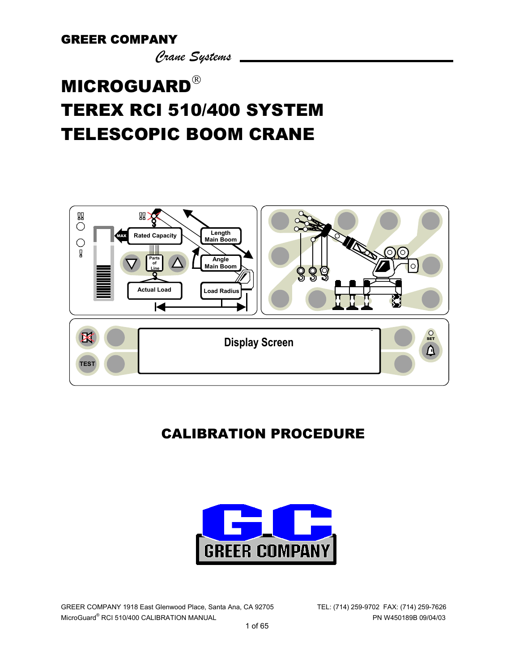*Crane Systems* 

# **MICROGUARD**® [TEREX RCI 510/400 SYSTEM](#page-8-0)  TELESCOPIC BOOM CRANE



# CALIBRATION PROCEDURE



GREER COMPANY 1918 East Glenwood Place, Santa Ana, CA 92705 TEL: (714) 259-9702 FAX: (714) 259-7626 MicroGuard® RCI 510/400 CALIBRATION MANUAL PN W450189B 09/04/03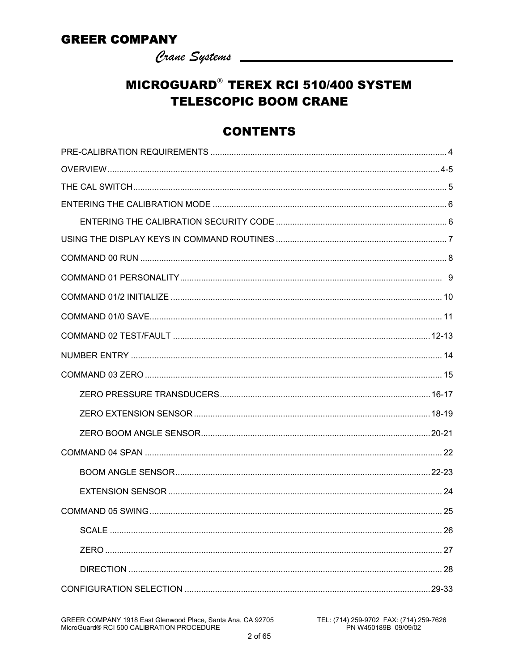Crane Systems

# **MICROGUARD<sup>®</sup> TEREX RCI 510/400 SYSTEM TELESCOPIC BOOM CRANE**

### **CONTENTS**

GREER COMPANY 1918 East Glenwood Place, Santa Ana, CA 92705<br>MicroGuard® RCI 500 CALIBRATION PROCEDURE

TEL: (714) 259-9702 FAX: (714) 259-7626<br>PN W450189B 09/09/02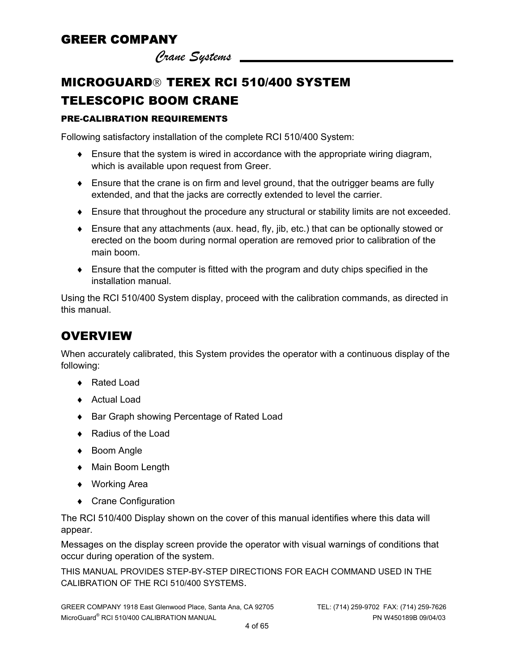*Crane Systems* 

# **MICROGUARD<sup>®</sup> TEREX RCI 510/400 SYSTEM** TELESCOPIC BOOM CRANE

#### PRE-CALIBRATION REQUIREMENTS

Following satisfactory installation of the complete RCI 510/400 System:

- $\bullet$  Ensure that the system is wired in accordance with the appropriate wiring diagram, which is available upon request from Greer.
- ♦ Ensure that the crane is on firm and level ground, that the outrigger beams are fully extended, and that the jacks are correctly extended to level the carrier.
- ♦ Ensure that throughout the procedure any structural or stability limits are not exceeded.
- ♦ Ensure that any attachments (aux. head, fly, jib, etc.) that can be optionally stowed or erected on the boom during normal operation are removed prior to calibration of the main boom.
- $\bullet$  Ensure that the computer is fitted with the program and duty chips specified in the installation manual.

Using the RCI 510/400 System display, proceed with the calibration commands, as directed in this manual.

# **OVERVIEW**

When accurately calibrated, this System provides the operator with a continuous display of the following:

- ♦ Rated Load
- ♦ Actual Load
- ♦ Bar Graph showing Percentage of Rated Load
- ♦ Radius of the Load
- ♦ Boom Angle
- ♦ Main Boom Length
- ♦ Working Area
- ♦ Crane Configuration

The RCI 510/400 Display shown on the cover of this manual identifies where this data will appear.

Messages on the display screen provide the operator with visual warnings of conditions that occur during operation of the system.

THIS MANUAL PROVIDES STEP-BY-STEP DIRECTIONS FOR EACH COMMAND USED IN THE CALIBRATION OF THE RCI 510/400 SYSTEMS.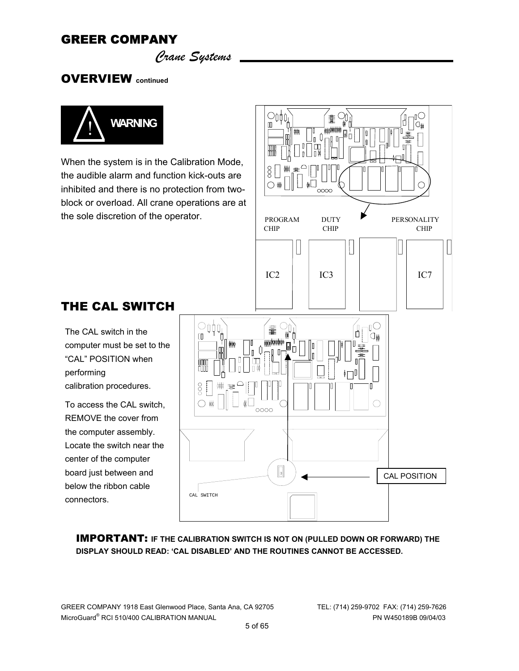*Crane Systems* 

OVERVIEW **continued**



THE CAL SWITCH

computer must be set to the "CAL" POSITION when

The CAL switch in the

calibration procedures.

To access the CAL switch, REMOVE the cover from the computer assembly. Locate the switch near the center of the computer board just between and below the ribbon cable

performing

connectors.

When the system is in the Calibration Mode, the audible alarm and function kick-outs are inhibited and there is no protection from twoblock or overload. All crane operations are at the sole discretion of the operator.



IMPORTANT: **IF THE CALIBRATION SWITCH IS NOT ON (PULLED DOWN OR FORWARD) THE DISPLAY SHOULD READ: 'CAL DISABLED' AND THE ROUTINES CANNOT BE ACCESSED.**

GREER COMPANY 1918 East Glenwood Place, Santa Ana, CA 92705 TEL: (714) 259-9702 FAX: (714) 259-7626 MicroGuard® RCI 510/400 CALIBRATION MANUAL PN W450189B 09/04/03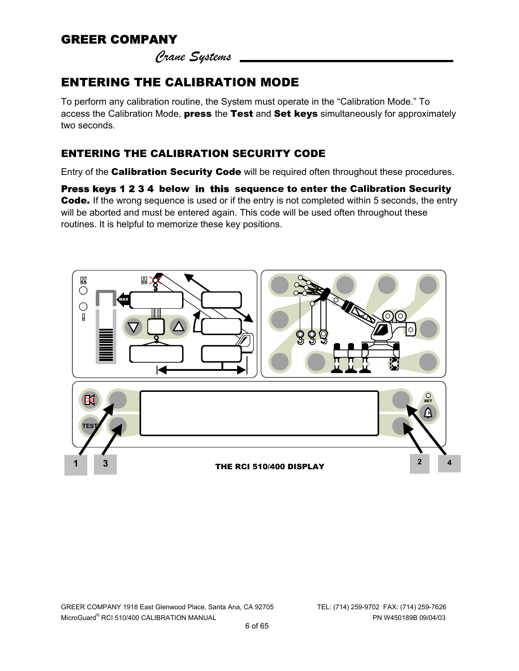*Crane Systems* 

# ENTERING THE CALIBRATION MODE

To perform any calibration routine, the System must operate in the "Calibration Mode." To access the Calibration Mode, press the Test and Set keys simultaneously for approximately two seconds.

#### ENTERING THE CALIBRATION SECURITY CODE

Entry of the **Calibration Security Code** will be required often throughout these procedures.

Press keys 1 2 3 4 below in this sequence to enter the Calibration Security Code. If the wrong sequence is used or if the entry is not completed within 5 seconds, the entry will be aborted and must be entered again. This code will be used often throughout these routines. It is helpful to memorize these key positions.

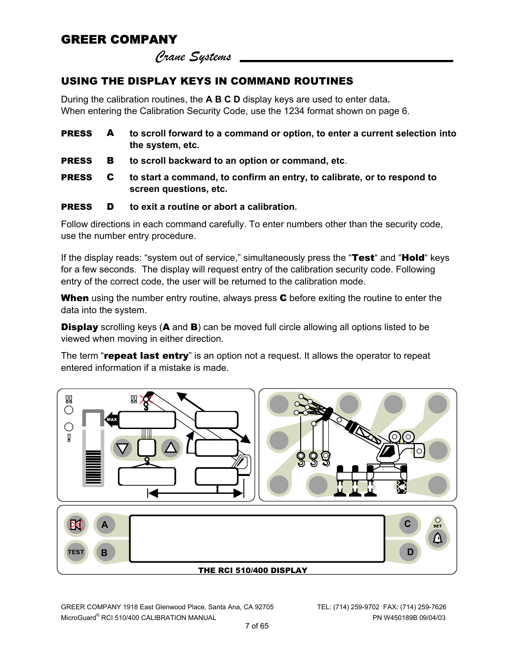*Crane Systems* 

#### USING THE DISPLAY KEYS IN COMMAND ROUTINES

During the calibration routines, the **A B C D** display keys are used to enter data**.** When entering the Calibration Security Code, use the 1234 format shown on page 6.

| <b>PRESS</b> | to scroll forward to a command or option, to enter a current selection into |
|--------------|-----------------------------------------------------------------------------|
|              | the system, etc.                                                            |

- PRESS B **to scroll backward to an option or command, etc**.
- PRESS C **to start a command, to confirm an entry, to calibrate, or to respond to screen questions, etc.**

#### PRESS D **to exit a routine or abort a calibration.**

Follow directions in each command carefully. To enter numbers other than the security code, use the number entry procedure.

If the display reads: "system out of service," simultaneously press the "Test" and "Hold" keys for a few seconds. The display will request entry of the calibration security code. Following entry of the correct code, the user will be returned to the calibration mode.

When using the number entry routine, always press C before exiting the routine to enter the data into the system.

**Display** scrolling keys (**A** and **B**) can be moved full circle allowing all options listed to be viewed when moving in either direction.

The term "repeat last entry" is an option not a request. It allows the operator to repeat entered information if a mistake is made.



GREER COMPANY 1918 East Glenwood Place, Santa Ana, CA 92705 TEL: (714) 259-9702 FAX: (714) 259-7626 MicroGuard® RCI 510/400 CALIBRATION MANUAL PN W450189B 09/04/03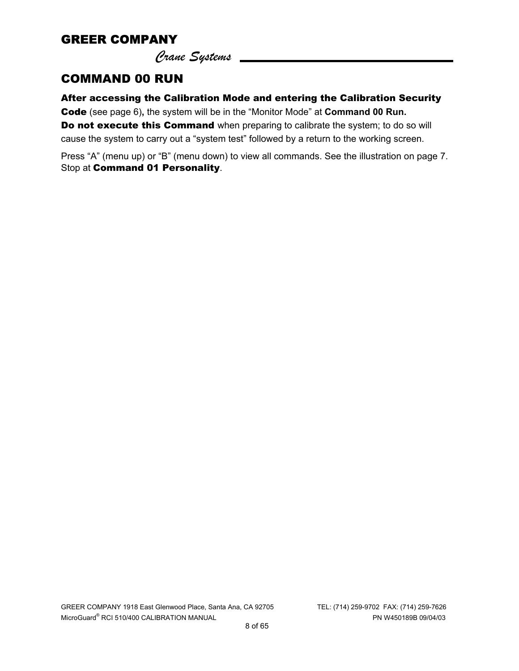*Crane Systems* 

#### COMMAND 00 RUN

After accessing the Calibration Mode and entering the Calibration Security Code (see page 6)**,** the system will be in the "Monitor Mode" at **Command 00 Run.** Do not execute this Command when preparing to calibrate the system; to do so will cause the system to carry out a "system test" followed by a return to the working screen.

Press "A" (menu up) or "B" (menu down) to view all commands. See the illustration on page 7. Stop at Command 01 Personality.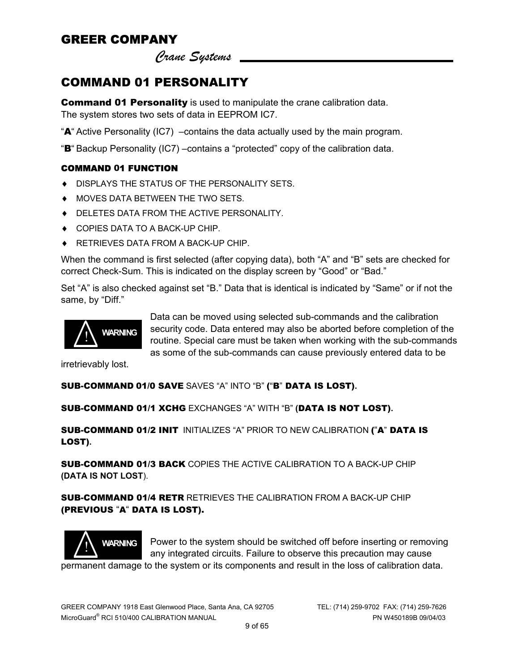*Crane Systems* 

# <span id="page-8-0"></span>COMMAND 01 PERSONALITY

**Command 01 Personality** is used to manipulate the crane calibration data. The system stores two sets of data in EEPROM IC7.

"A" Active Personality (IC7) –contains the data actually used by the main program.

"B" Backup Personality (IC7) –contains a "protected" copy of the calibration data.

#### COMMAND 01 FUNCTION

- ♦ DISPLAYS THE STATUS OF THE PERSONALITY SETS.
- ♦ MOVES DATA BETWEEN THE TWO SETS.
- ♦ DELETES DATA FROM THE ACTIVE PERSONALITY.
- ♦ COPIES DATA TO A BACK-UP CHIP.
- ♦ RETRIEVES DATA FROM A BACK-UP CHIP.

When the command is first selected (after copying data), both "A" and "B" sets are checked for correct Check-Sum. This is indicated on the display screen by "Good" or "Bad."

Set "A" is also checked against set "B." Data that is identical is indicated by "Same" or if not the same, by "Diff."



Data can be moved using selected sub-commands and the calibration security code. Data entered may also be aborted before completion of the routine. Special care must be taken when working with the sub-commands as some of the sub-commands can cause previously entered data to be

irretrievably lost.

#### SUB-COMMAND 01/0 SAVE SAVES "A" INTO "B" ("B" DATA IS LOST)**.**

SUB-COMMAND 01/1 XCHG EXCHANGES "A" WITH "B" **(**DATA IS NOT LOST)**.**

SUB-COMMAND 01/2 INIT INITIALIZES "A" PRIOR TO NEW CALIBRATION ("A" DATA IS LOST)**.** 

SUB-COMMAND 01/3 BACK COPIES THE ACTIVE CALIBRATION TO A BACK-UP CHIP **(DATA IS NOT LOST**).

SUB-COMMAND 01/4 RETR RETRIEVES THE CALIBRATION FROM A BACK-UP CHIP (PREVIOUS "A" DATA IS LOST).



Power to the system should be switched off before inserting or removing any integrated circuits. Failure to observe this precaution may cause

permanent damage to the system or its components and result in the loss of calibration data.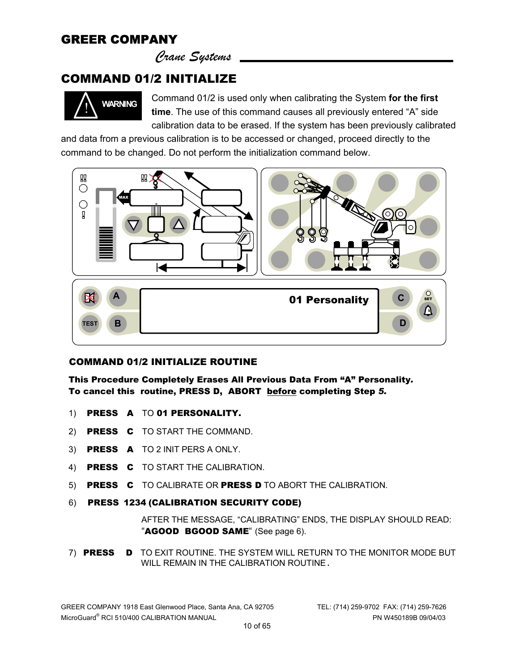*Crane Systems* 

#### COMMAND 01/2 INITIALIZE



Command 01/2 is used only when calibrating the System **for the first time**. The use of this command causes all previously entered "A" side calibration data to be erased. If the system has been previously calibrated

and data from a previous calibration is to be accessed or changed, proceed directly to the command to be changed. Do not perform the initialization command below.



#### COMMAND 01/2 INITIALIZE ROUTINE

This Procedure Completely Erases All Previous Data From "A" Personality*.*  To cancel this routine, PRESS D, ABORT before completing Step *5.*

- 1) PRESS A TO 01 PERSONALITY.
- 2) PRESS C TO START THE COMMAND.
- 3) PRESS A TO 2 INIT PERS A ONLY.
- 4) PRESS C TO START THE CALIBRATION.
- 5) PRESS C TO CALIBRATE OR PRESS D TO ABORT THE CALIBRATION.
- 6) PRESS 1234 (CALIBRATION SECURITY CODE)

 AFTER THE MESSAGE, "CALIBRATING" ENDS, THE DISPLAY SHOULD READ: "AGOOD BGOOD SAME" (See page 6).

7) PRESS D TO EXIT ROUTINE. THE SYSTEM WILL RETURN TO THE MONITOR MODE BUT WILL REMAIN IN THE CALIBRATION ROUTINE.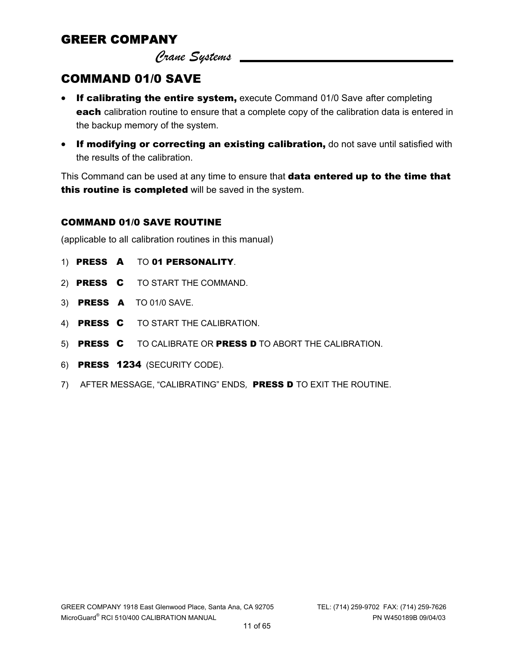*Crane Systems* 

#### COMMAND 01/0 SAVE

- If calibrating the entire system, execute Command 01/0 Save after completing each calibration routine to ensure that a complete copy of the calibration data is entered in the backup memory of the system.
- If modifying or correcting an existing calibration, do not save until satisfied with the results of the calibration.

This Command can be used at any time to ensure that data entered up to the time that this routine is completed will be saved in the system.

#### COMMAND 01/0 SAVE ROUTINE

(applicable to all calibration routines in this manual)

- 1) PRESS A TO 01 PERSONALITY.
- 2) PRESS C TO START THE COMMAND.
- 3) PRESS A TO 01/0 SAVE.
- 4) PRESS C TO START THE CALIBRATION.
- 5) PRESS C TO CALIBRATE OR PRESS D TO ABORT THE CALIBRATION.
- 6) PRESS 1234 (SECURITY CODE).
- 7) AFTER MESSAGE, "CALIBRATING" ENDS*,* PRESS D TO EXIT THE ROUTINE.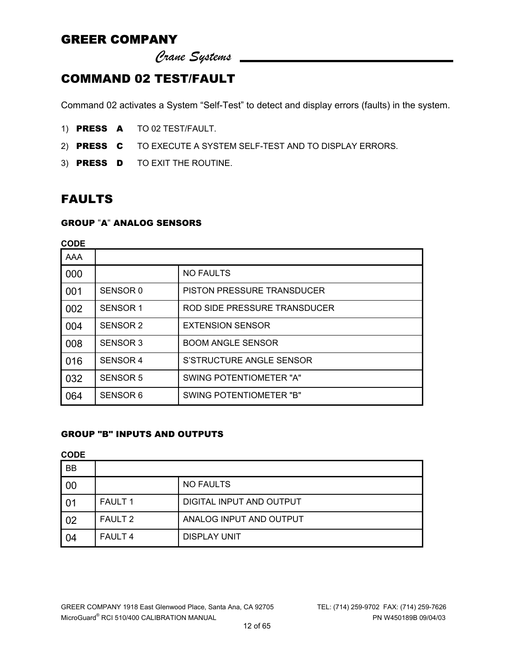*Crane Systems* 

### COMMAND 02 TEST/FAULT

Command 02 activates a System "Self-Test" to detect and display errors (faults) in the system.

- 1) PRESS A TO 02 TEST/FAULT.
- 2) PRESS C TO EXECUTE A SYSTEM SELF-TEST AND TO DISPLAY ERRORS.
- 3) PRESS D TO EXIT THE ROUTINE.

### FAULTS

#### GROUP "A" ANALOG SENSORS

| <b>CODE</b> |                     |                                   |  |  |  |
|-------------|---------------------|-----------------------------------|--|--|--|
| AAA         |                     |                                   |  |  |  |
| 000         |                     | <b>NO FAULTS</b>                  |  |  |  |
| 001         | SENSOR <sub>0</sub> | <b>PISTON PRESSURE TRANSDUCER</b> |  |  |  |
| 002         | SENSOR 1            | ROD SIDE PRESSURE TRANSDUCER      |  |  |  |
| 004         | SENSOR 2            | <b>EXTENSION SENSOR</b>           |  |  |  |
| 008         | SENSOR 3            | <b>BOOM ANGLE SENSOR</b>          |  |  |  |
| 016         | <b>SENSOR 4</b>     | S'STRUCTURE ANGLE SENSOR          |  |  |  |
| 032         | <b>SENSOR 5</b>     | SWING POTENTIOMETER "A"           |  |  |  |
| 064         | SENSOR 6            | SWING POTENTIOMETER "B"           |  |  |  |

#### GROUP "B" INPUTS AND OUTPUTS

**CODE** 

| <b>BB</b> |                |                          |
|-----------|----------------|--------------------------|
| 00        |                | <b>NO FAULTS</b>         |
| 01        | <b>FAULT 1</b> | DIGITAL INPUT AND OUTPUT |
| 02        | <b>FAULT 2</b> | ANALOG INPUT AND OUTPUT  |
| 04        | <b>FAULT 4</b> | <b>DISPLAY UNIT</b>      |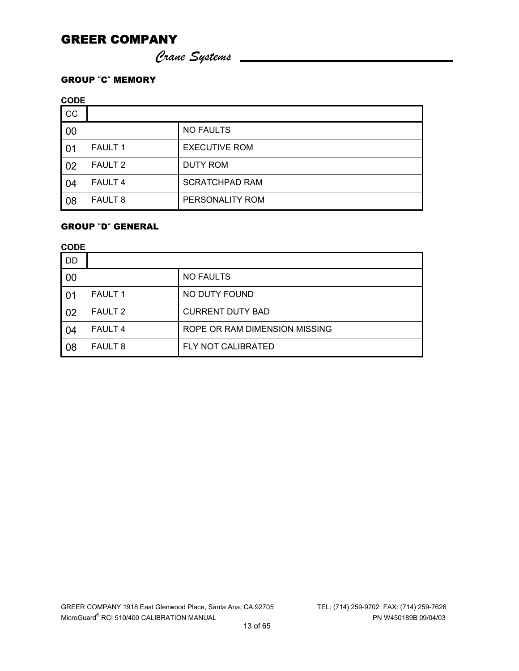*Crane Systems* 

#### GROUP "C" MEMORY

**CODE** 

| <b>CC</b> |                    |                       |
|-----------|--------------------|-----------------------|
| 00        |                    | <b>NO FAULTS</b>      |
| 01        | <b>FAULT 1</b>     | <b>EXECUTIVE ROM</b>  |
| 02        | <b>FAULT 2</b>     | DUTY ROM              |
| 04        | FAULT <sub>4</sub> | <b>SCRATCHPAD RAM</b> |
| 08        | FAULT <sub>8</sub> | PERSONALITY ROM       |

#### GROUP "D" GENERAL

**CODE** 

| DD. |                |                               |
|-----|----------------|-------------------------------|
| 00  |                | <b>NO FAULTS</b>              |
| 01  | <b>FAULT 1</b> | NO DUTY FOUND                 |
| 02  | <b>FAULT 2</b> | <b>CURRENT DUTY BAD</b>       |
| -04 | <b>FAULT 4</b> | ROPE OR RAM DIMENSION MISSING |
| 08  | <b>FAULT 8</b> | FLY NOT CALIBRATED            |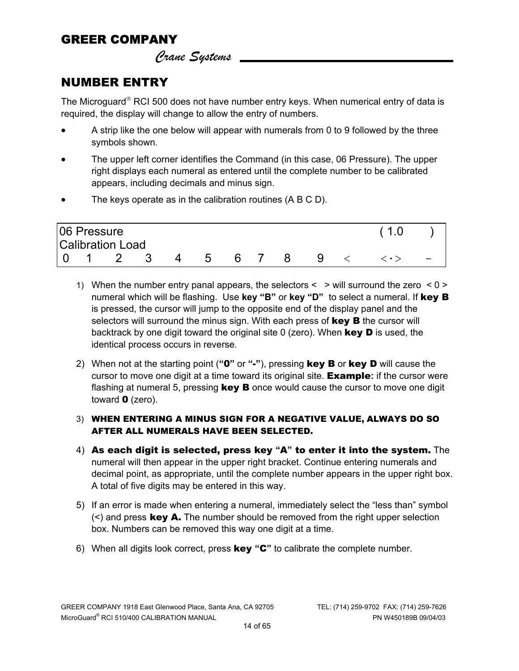*Crane Systems* 

# NUMBER ENTRY

The Microguard<sup>®</sup> RCI 500 does not have number entry keys. When numerical entry of data is required, the display will change to allow the entry of numbers.

- A strip like the one below will appear with numerals from 0 to 9 followed by the three symbols shown.
- The upper left corner identifies the Command (in this case, 06 Pressure). The upper right displays each numeral as entered until the complete number to be calibrated appears, including decimals and minus sign.
- The keys operate as in the calibration routines (A B C D).

|     | 06 Pressure | <b>Calibration Load</b> |   |   |    |   |  |  |
|-----|-------------|-------------------------|---|---|----|---|--|--|
|     |             |                         |   |   |    |   |  |  |
| l O |             |                         | 4 | 5 | 67 | 9 |  |  |

- 1) When the number entry panal appears, the selectors  $\lt$   $>$  will surround the zero  $\lt 0$   $\gt$ numeral which will be flashing. Use **key "B"** or **key "D"** to select a numeral. If key B is pressed, the cursor will jump to the opposite end of the display panel and the selectors will surround the minus sign. With each press of key B the cursor will backtrack by one digit toward the original site  $0$  (zero). When **key D** is used, the identical process occurs in reverse.
- 2) When not at the starting point (**"**0**"** or **"**-**"**), pressing key B or key D will cause the cursor to move one digit at a time toward its original site. Example**:** if the cursor were flashing at numeral 5, pressing  $key$  B once would cause the cursor to move one digit toward  $\mathbf 0$  (zero).
- 3) WHEN ENTERING A MINUS SIGN FOR A NEGATIVE VALUE, ALWAYS DO SO AFTER ALL NUMERALS HAVE BEEN SELECTED.
- 4) As each digit is selected, press key **"**A**"** to enter it into the system. The numeral will then appear in the upper right bracket. Continue entering numerals and decimal point, as appropriate, until the complete number appears in the upper right box. A total of five digits may be entered in this way.
- 5) If an error is made when entering a numeral, immediately select the "less than" symbol  $(\le)$  and press key A. The number should be removed from the right upper selection box. Numbers can be removed this way one digit at a time.
- 6) When all digits look correct, press key **"**C**"** to calibrate the complete number.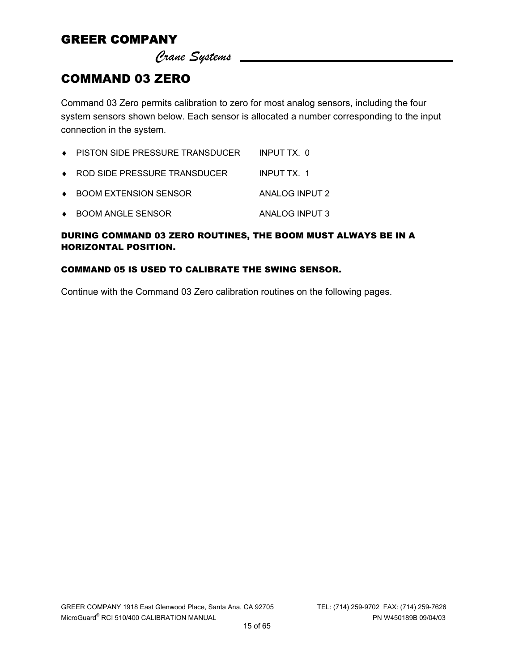*Crane Systems* 

#### COMMAND 03 ZERO

Command 03 Zero permits calibration to zero for most analog sensors, including the four system sensors shown below. Each sensor is allocated a number corresponding to the input connection in the system.

| $\bullet$ PISTON SIDE PRESSURE TRANSDUCER | INPUT TX. 0    |
|-------------------------------------------|----------------|
| ◆ ROD SIDE PRESSURE TRANSDUCER            | INPUT TX. 1    |
| ◆ BOOM EXTENSION SENSOR                   | ANALOG INPUT 2 |
| ◆ BOOM ANGLE SENSOR                       | ANALOG INPUT 3 |

#### DURING COMMAND 03 ZERO ROUTINES, THE BOOM MUST ALWAYS BE IN A HORIZONTAL POSITION.

#### COMMAND 05 IS USED TO CALIBRATE THE SWING SENSOR.

Continue with the Command 03 Zero calibration routines on the following pages.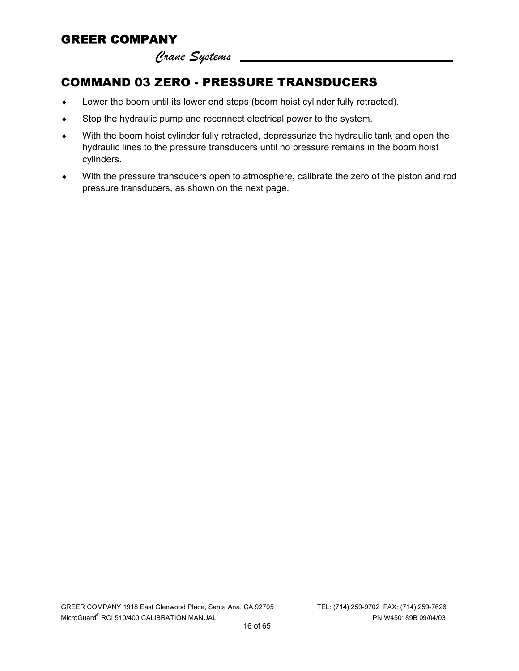*Crane Systems* 

# COMMAND 03 ZERO - PRESSURE TRANSDUCERS

- ♦ Lower the boom until its lower end stops (boom hoist cylinder fully retracted).
- ♦ Stop the hydraulic pump and reconnect electrical power to the system.
- ♦ With the boom hoist cylinder fully retracted, depressurize the hydraulic tank and open the hydraulic lines to the pressure transducers until no pressure remains in the boom hoist cylinders.
- ♦ With the pressure transducers open to atmosphere, calibrate the zero of the piston and rod pressure transducers, as shown on the next page.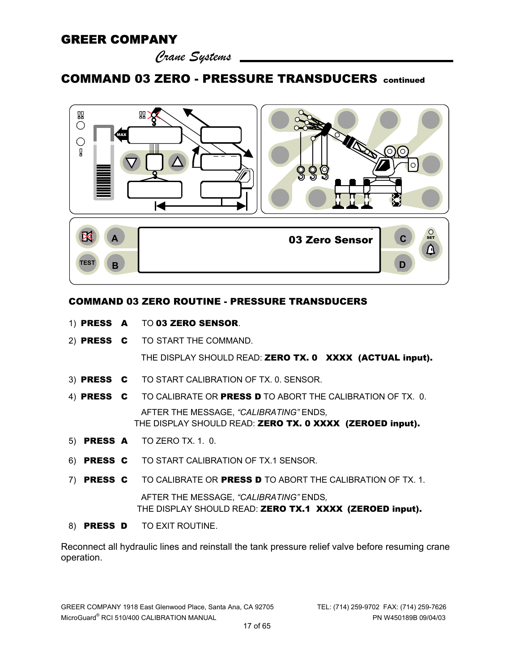*Crane Systems* 

#### COMMAND 03 ZERO - PRESSURE TRANSDUCERS continued



#### COMMAND 03 ZERO ROUTINE - PRESSURE TRANSDUCERS

- 1) PRESS A TO 03 ZERO SENSOR.
- 2) PRESS C TO START THE COMMAND. THE DISPLAY SHOULD READ: ZERO TX. 0 XXXX (ACTUAL input).
- 3) PRESS C TO START CALIBRATION OF TX. 0. SENSOR.
- 4) PRESS C TO CALIBRATE OR PRESS D TO ABORT THE CALIBRATION OF TX. 0. AFTER THE MESSAGE, *"CALIBRATING"* ENDS*,* THE DISPLAY SHOULD READ: ZERO TX. 0 XXXX (ZEROED input).
- 5) PRESS A TO ZERO TX. 1. 0.
- 6) PRESS C TO START CALIBRATION OF TX.1 SENSOR.
- 7) PRESS C TO CALIBRATE OR PRESS D TO ABORT THE CALIBRATION OF TX. 1. AFTER THE MESSAGE, *"CALIBRATING"* ENDS*,* THE DISPLAY SHOULD READ: ZERO TX.1 XXXX (ZEROED input).
- 8) PRESS D TO EXIT ROUTINE.

Reconnect all hydraulic lines and reinstall the tank pressure relief valve before resuming crane operation.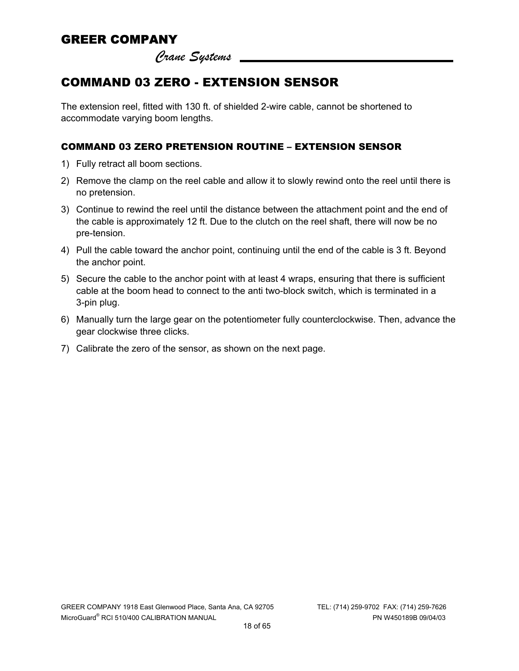*Crane Systems* 

# COMMAND 03 ZERO - EXTENSION SENSOR

The extension reel, fitted with 130 ft. of shielded 2-wire cable, cannot be shortened to accommodate varying boom lengths.

#### COMMAND 03 ZERO PRETENSION ROUTINE – EXTENSION SENSOR

- 1) Fully retract all boom sections.
- 2) Remove the clamp on the reel cable and allow it to slowly rewind onto the reel until there is no pretension.
- 3) Continue to rewind the reel until the distance between the attachment point and the end of the cable is approximately 12 ft. Due to the clutch on the reel shaft, there will now be no pre-tension.
- 4) Pull the cable toward the anchor point, continuing until the end of the cable is 3 ft. Beyond the anchor point.
- 5) Secure the cable to the anchor point with at least 4 wraps, ensuring that there is sufficient cable at the boom head to connect to the anti two-block switch, which is terminated in a 3-pin plug.
- 6) Manually turn the large gear on the potentiometer fully counterclockwise. Then, advance the gear clockwise three clicks.
- 7) Calibrate the zero of the sensor, as shown on the next page.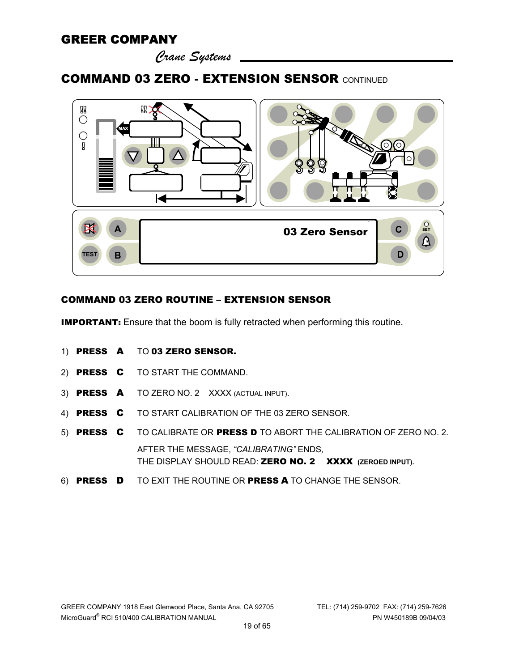*Crane Systems* 

#### COMMAND 03 ZERO - EXTENSION SENSOR CONTINUED



#### COMMAND 03 ZERO ROUTINE – EXTENSION SENSOR

**IMPORTANT:** Ensure that the boom is fully retracted when performing this routine.

- 1) PRESS A TO 03 ZERO SENSOR.
- 2) PRESS C TO START THE COMMAND.
- 3) PRESS A TO ZERO NO. 2 XXXX (ACTUAL INPUT).
- 4) PRESS C TO START CALIBRATION OF THE 03 ZERO SENSOR.
- 5) PRESS C TO CALIBRATE OR PRESS D TO ABORT THE CALIBRATION OF ZERO NO. 2. AFTER THE MESSAGE, *"CALIBRATING"* ENDS*,* THE DISPLAY SHOULD READ: ZERO NO. 2 XXXX **(ZEROED INPUT).**
- 6) PRESS D TO EXIT THE ROUTINE OR PRESS A TO CHANGE THE SENSOR.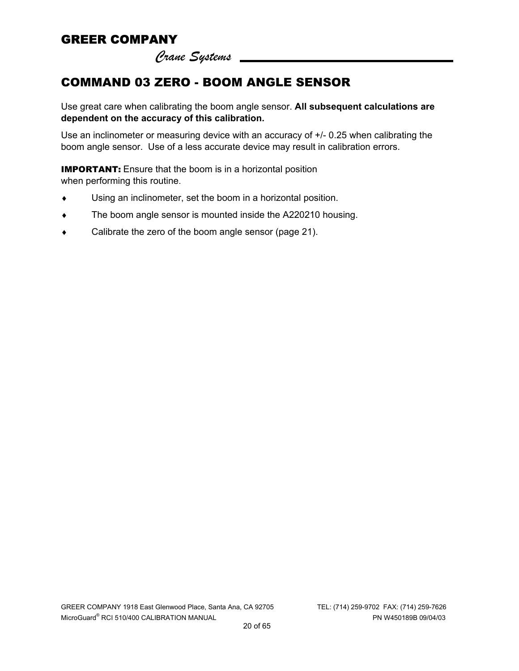*Crane Systems* 

# COMMAND 03 ZERO - BOOM ANGLE SENSOR

Use great care when calibrating the boom angle sensor. **All subsequent calculations are dependent on the accuracy of this calibration.** 

Use an inclinometer or measuring device with an accuracy of +/- 0.25 when calibrating the boom angle sensor. Use of a less accurate device may result in calibration errors.

**IMPORTANT:** Ensure that the boom is in a horizontal position when performing this routine.

- ♦ Using an inclinometer, set the boom in a horizontal position.
- ♦ The boom angle sensor is mounted inside the A220210 housing.
- ♦ Calibrate the zero of the boom angle sensor (page 21).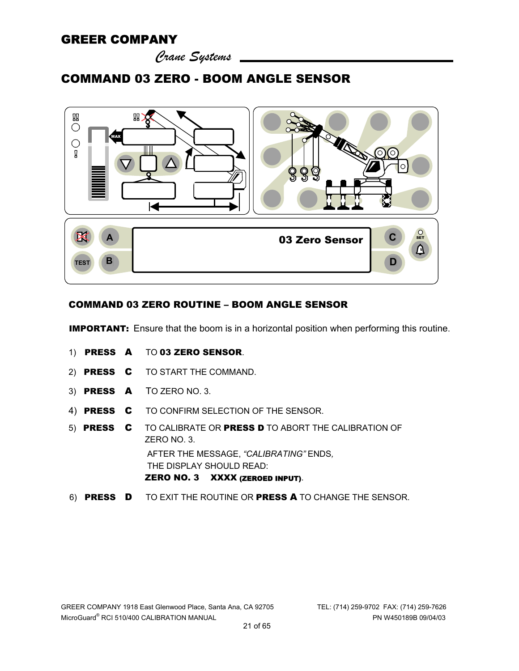*Crane Systems* 

### COMMAND 03 ZERO - BOOM ANGLE SENSOR



#### COMMAND 03 ZERO ROUTINE – BOOM ANGLE SENSOR

**IMPORTANT:** Ensure that the boom is in a horizontal position when performing this routine.

- 1) PRESS A TO 03 ZERO SENSOR.
- 2) PRESS C TO START THE COMMAND.
- 3) PRESS A TO ZERO NO. 3.
- 4) PRESS C TO CONFIRM SELECTION OF THE SENSOR.
- 5) PRESS C TO CALIBRATE OR PRESS D TO ABORT THE CALIBRATION OF ZERO NO. 3. AFTER THE MESSAGE, *"CALIBRATING"* ENDS*,* THE DISPLAY SHOULD READ: ZERO NO. 3 XXXX (ZEROED INPUT).
- 6) PRESS D TO EXIT THE ROUTINE OR PRESS A TO CHANGE THE SENSOR.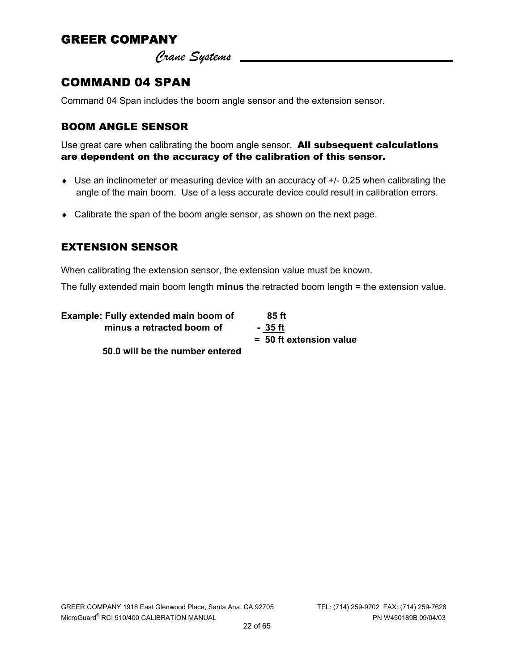*Crane Systems* 

# COMMAND 04 SPAN

Command 04 Span includes the boom angle sensor and the extension sensor.

#### BOOM ANGLE SENSOR

Use great care when calibrating the boom angle sensor.All subsequent calculations are dependent on the accuracy of the calibration of this sensor.

- ♦ Use an inclinometer or measuring device with an accuracy of +/- 0.25 when calibrating the angle of the main boom. Use of a less accurate device could result in calibration errors.
- ♦ Calibrate the span of the boom angle sensor, as shown on the next page.

#### EXTENSION SENSOR

When calibrating the extension sensor, the extension value must be known.

The fully extended main boom length **minus** the retracted boom length **=** the extension value.

| Example: Fully extended main boom of | 85 ft                     |
|--------------------------------------|---------------------------|
| minus a retracted boom of            | - 35 ft                   |
|                                      | $= 50$ ft extension value |

 **50.0 will be the number entered** 

GREER COMPANY 1918 East Glenwood Place, Santa Ana, CA 92705 TEL: (714) 259-9702 FAX: (714) 259-7626 MicroGuard® RCI 510/400 CALIBRATION MANUAL PN W450189B 09/04/03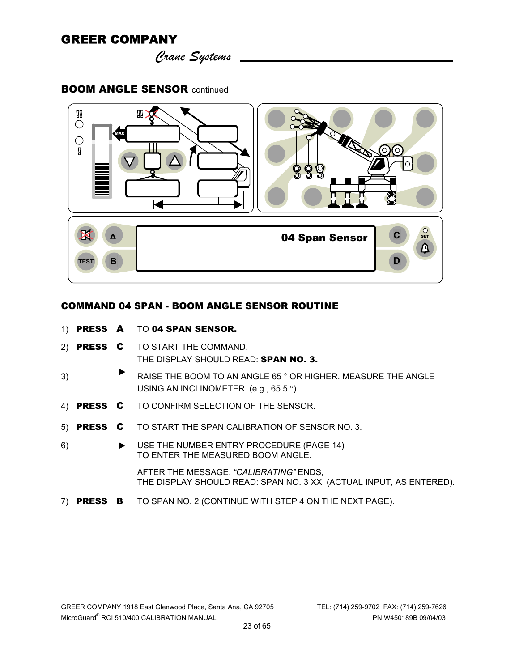*Crane Systems* 

#### BOOM ANGLE SENSOR continued



#### COMMAND 04 SPAN - BOOM ANGLE SENSOR ROUTINE

- 1) PRESS A TO 04 SPAN SENSOR.
- 2) PRESS C TO START THE COMMAND. THE DISPLAY SHOULD READ: SPAN NO. 3.
- 3) RAISE THE BOOM TO AN ANGLE 65 ° OR HIGHER. MEASURE THE ANGLE USING AN INCLINOMETER. (e.g., 65.5 °)
- 4) PRESS C TO CONFIRM SELECTION OF THE SENSOR.
- 5) PRESS C TO START THE SPAN CALIBRATION OF SENSOR NO. 3.
- 6)  **USE THE NUMBER ENTRY PROCEDURE (PAGE 14)** TO ENTER THE MEASURED BOOM ANGLE.

AFTER THE MESSAGE, *"CALIBRATING"* ENDS*,* THE DISPLAY SHOULD READ: SPAN NO. 3 XX (ACTUAL INPUT, AS ENTERED).

7) PRESS B TO SPAN NO. 2 (CONTINUE WITH STEP 4 ON THE NEXT PAGE).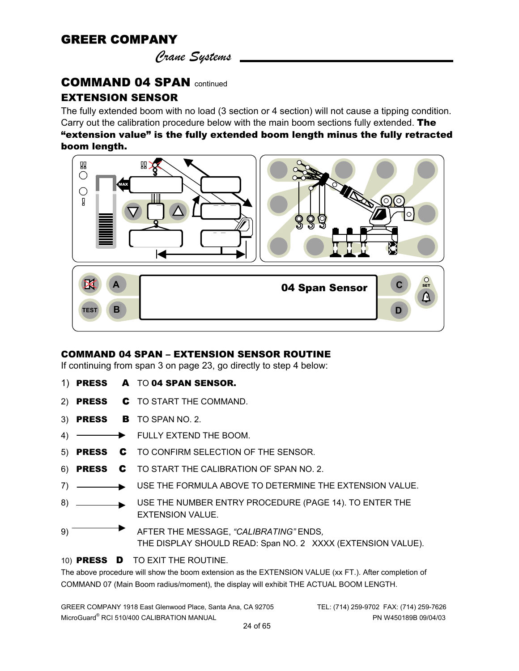*Crane Systems* 

#### COMMAND 04 SPAN continued

#### EXTENSION SENSOR

The fully extended boom with no load (3 section or 4 section) will not cause a tipping condition. Carry out the calibration procedure below with the main boom sections fully extended. The "extension value" is the fully extended boom length minus the fully retracted boom length.

#### **QQ**  $\mathbb{R}$  $\bigcirc$ 23,500 44.8 MAX C Д 6 62.7  $\begin{array}{c|c}\n\hline\n\end{array}$  $\overline{\phantom{a}}$ 04 Span Sensor **A C** ERECTED 604 Span Sensor **B D D TEST**

#### COMMAND 04 SPAN – EXTENSION SENSOR ROUTINE

If continuing from span 3 on page 23, go directly to step 4 below:

- 1) PRESS A TO 04 SPAN SENSOR.
- 2) **PRESS C** TO START THE COMMAND.
- 3) **PRESS B** TO SPAN NO. 2.
- 4)  $\longrightarrow$  FULLY EXTEND THE BOOM.
- 5) PRESS C TO CONFIRM SELECTION OF THE SENSOR.
- 6) PRESS C TO START THE CALIBRATION OF SPAN NO. 2.
- 7) USE THE FORMULA ABOVE TO DETERMINE THE EXTENSION VALUE.
- 8) USE THE NUMBER ENTRY PROCEDURE (PAGE 14). TO ENTER THE EXTENSION VALUE.
- 9) AFTER THE MESSAGE, *"CALIBRATING"* ENDS*,* THE DISPLAY SHOULD READ: Span NO. 2 XXXX (EXTENSION VALUE).

#### 10) PRESS D TO EXIT THE ROUTINE.

The above procedure will show the boom extension as the EXTENSION VALUE (xx FT.). After completion of COMMAND 07 (Main Boom radius/moment), the display will exhibit THE ACTUAL BOOM LENGTH.

GREER COMPANY 1918 East Glenwood Place, Santa Ana, CA 92705 TEL: (714) 259-9702 FAX: (714) 259-7626 MicroGuard® RCI 510/400 CALIBRATION MANUAL PN W450189B 09/04/03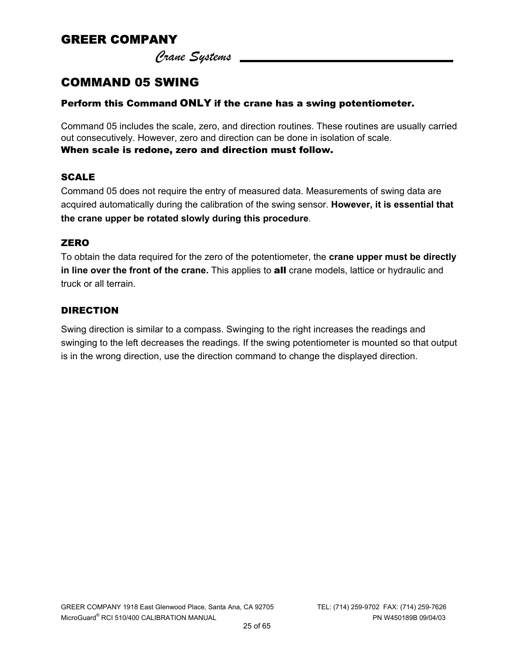*Crane Systems* 

# COMMAND 05 SWING

#### Perform this Command ONLY if the crane has a swing potentiometer.

Command 05 includes the scale, zero, and direction routines. These routines are usually carried out consecutively. However, zero and direction can be done in isolation of scale. When scale is redone, zero and direction must follow.

#### SCALE

Command 05 does not require the entry of measured data. Measurements of swing data are acquired automatically during the calibration of the swing sensor. **However, it is essential that the crane upper be rotated slowly during this procedure**.

#### **ZERO**

To obtain the data required for the zero of the potentiometer, the **crane upper must be directly in line over the front of the crane.** This applies to all crane models, lattice or hydraulic and truck or all terrain.

#### DIRECTION

Swing direction is similar to a compass. Swinging to the right increases the readings and swinging to the left decreases the readings. If the swing potentiometer is mounted so that output is in the wrong direction, use the direction command to change the displayed direction.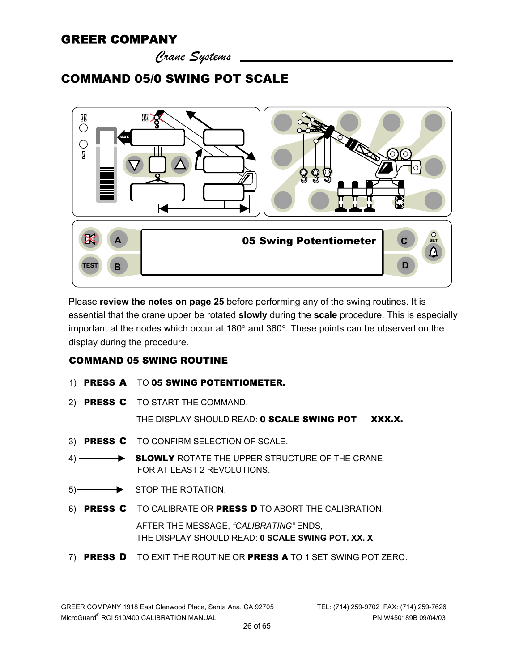*Crane Systems* 

### COMMAND 05/0 SWING POT SCALE



Please **review the notes on page 25** before performing any of the swing routines. It is essential that the crane upper be rotated **slowly** during the **scale** procedure. This is especially important at the nodes which occur at 180° and 360°. These points can be observed on the display during the procedure.

#### COMMAND 05 SWING ROUTINE

- 1) PRESS A TO 05 SWING POTENTIOMETER.
- 2) PRESS C TO START THE COMMAND.

THE DISPLAY SHOULD READ: 0 SCALE SWING POT XXX.X.

- 3) PRESS C TO CONFIRM SELECTION OF SCALE.
- 4) SLOWLY ROTATE THE UPPER STRUCTURE OF THE CRANE FOR AT LEAST 2 REVOLUTIONS.
- 5) STOP THE ROTATION.
- 6) PRESS C TO CALIBRATE OR PRESS D TO ABORT THE CALIBRATION.

 AFTER THE MESSAGE, *"CALIBRATING"* ENDS*,* THE DISPLAY SHOULD READ: **0 SCALE SWING POT. XX. X** 

7) PRESS D TO EXIT THE ROUTINE OR PRESS A TO 1 SET SWING POT ZERO.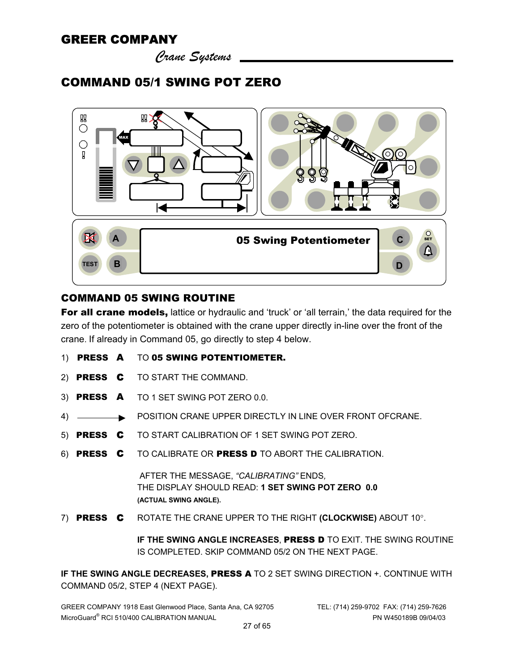*Crane Systems* 

# COMMAND 05/1 SWING POT ZERO



#### COMMAND 05 SWING ROUTINE

For all crane models, lattice or hydraulic and 'truck' or 'all terrain,' the data required for the zero of the potentiometer is obtained with the crane upper directly in-line over the front of the crane. If already in Command 05, go directly to step 4 below.

- 1) PRESS A TO 05 SWING POTENTIOMETER.
- 2) PRESS C TO START THE COMMAND.
- 3) PRESS A TO 1 SET SWING POT ZERO 0.0.
- 4) **POSITION CRANE UPPER DIRECTLY IN LINE OVER FRONT OFCRANE.**
- 5) PRESS C TO START CALIBRATION OF 1 SET SWING POT ZERO.
- 6) PRESS C TO CALIBRATE OR PRESS D TO ABORT THE CALIBRATION.

 AFTER THE MESSAGE, *"CALIBRATING"* ENDS*,* THE DISPLAY SHOULD READ: **1 SET SWING POT ZERO 0.0 (ACTUAL SWING ANGLE).** 

7) PRESS C ROTATE THE CRANE UPPER TO THE RIGHT **(CLOCKWISE)** ABOUT 10°.

**IF THE SWING ANGLE INCREASES**, PRESS D TO EXIT. THE SWING ROUTINE IS COMPLETED. SKIP COMMAND 05/2 ON THE NEXT PAGE.

**IF THE SWING ANGLE DECREASES,** PRESS A TO 2 SET SWING DIRECTION +. CONTINUE WITH COMMAND 05/2, STEP 4 (NEXT PAGE).

GREER COMPANY 1918 East Glenwood Place, Santa Ana, CA 92705 TEL: (714) 259-9702 FAX: (714) 259-7626 MicroGuard® RCI 510/400 CALIBRATION MANUAL PN W450189B 09/04/03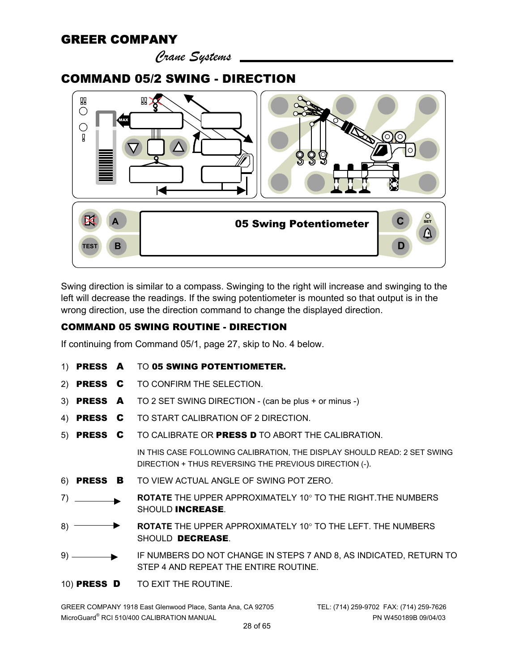*Crane Systems* 

#### COMMAND 05/2 SWING - DIRECTION



Swing direction is similar to a compass. Swinging to the right will increase and swinging to the left will decrease the readings. If the swing potentiometer is mounted so that output is in the wrong direction, use the direction command to change the displayed direction.

#### COMMAND 05 SWING ROUTINE - DIRECTION

If continuing from Command 05/1, page 27, skip to No. 4 below.

| TO <b>05 SWING POTENTIOMETER.</b><br>1) <b>PRESS A</b> |
|--------------------------------------------------------|
|--------------------------------------------------------|

- 2) **PRESS C** TO CONFIRM THE SELECTION.
- 3) PRESS A TO 2 SET SWING DIRECTION (can be plus + or minus -)
- 4) PRESS C TO START CALIBRATION OF 2 DIRECTION.
- 5) PRESS C TO CALIBRATE OR PRESS D TO ABORT THE CALIBRATION. IN THIS CASE FOLLOWING CALIBRATION, THE DISPLAY SHOULD READ: 2 SET SWING DIRECTION + THUS REVERSING THE PREVIOUS DIRECTION (-).
- 6) PRESS B TO VIEW ACTUAL ANGLE OF SWING POT ZERO.
- 7) **ROTATE** THE UPPER APPROXIMATELY 10° TO THE RIGHT.THE NUMBERS SHOULD INCREASE.
- 8) **ROTATE** THE UPPER APPROXIMATELY 10° TO THE LEFT. THE NUMBERS SHOULD DECREASE.
- 9) IF NUMBERS DO NOT CHANGE IN STEPS 7 AND 8, AS INDICATED, RETURN TO STEP 4 AND REPEAT THE ENTIRE ROUTINE.
- 10) PRESS D TO EXIT THE ROUTINE.

GREER COMPANY 1918 East Glenwood Place, Santa Ana, CA 92705 TEL: (714) 259-9702 FAX: (714) 259-7626 MicroGuard® RCI 510/400 CALIBRATION MANUAL PN W450189B 09/04/03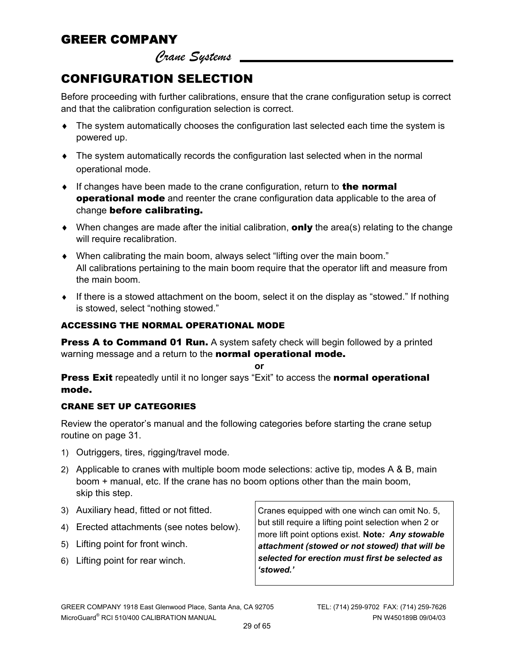*Crane Systems* 

# CONFIGURATION SELECTION

Before proceeding with further calibrations, ensure that the crane configuration setup is correct and that the calibration configuration selection is correct.

- ♦ The system automatically chooses the configuration last selected each time the system is powered up.
- $\bullet$  The system automatically records the configuration last selected when in the normal operational mode.
- $\bullet$  If changes have been made to the crane configuration, return to **the normal** operational mode and reenter the crane configuration data applicable to the area of change before calibrating.
- $\blacklozenge$  When changes are made after the initial calibration, **only** the area(s) relating to the change will require recalibration.
- ♦ When calibrating the main boom, always select "lifting over the main boom." All calibrations pertaining to the main boom require that the operator lift and measure from the main boom.
- ♦ If there is a stowed attachment on the boom, select it on the display as "stowed." If nothing is stowed, select "nothing stowed."

#### ACCESSING THE NORMAL OPERATIONAL MODE

**Press A to Command 01 Run.** A system safety check will begin followed by a printed warning message and a return to the **normal operational mode.** 

**or** 

**Press Exit** repeatedly until it no longer says "Exit" to access the **normal operational** mode.

#### CRANE SET UP CATEGORIES

Review the operator's manual and the following categories before starting the crane setup routine on page 31.

- 1) Outriggers, tires, rigging/travel mode.
- 2) Applicable to cranes with multiple boom mode selections: active tip, modes A & B, main boom + manual, etc. If the crane has no boom options other than the main boom, skip this step.
- 3) Auxiliary head, fitted or not fitted.
- 4) Erected attachments (see notes below).
- 5) Lifting point for front winch.
- 6) Lifting point for rear winch.

Cranes equipped with one winch can omit No. 5, but still require a lifting point selection when 2 or more lift point options exist. **Note***: Any stowable attachment (stowed or not stowed) that will be selected for erection must first be selected as 'stowed.'*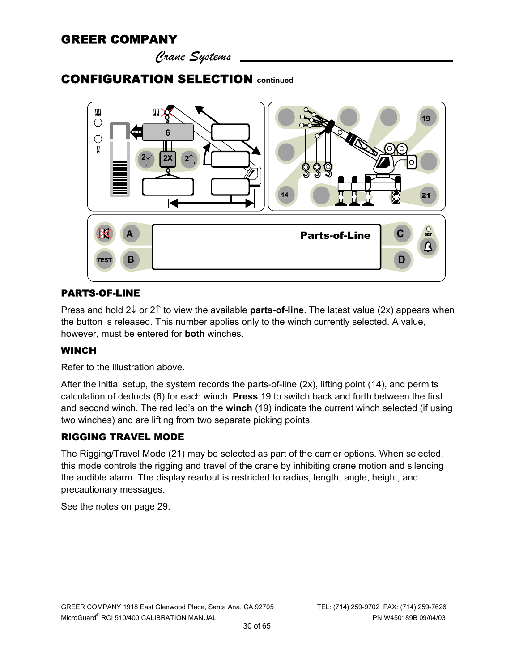*Crane Systems* 

### CONFIGURATION SELECTION **continued**



#### PARTS-OF-LINE

Press and hold 2↓ or 2↑ to view the available **parts-of-line**. The latest value (2x) appears when the button is released. This number applies only to the winch currently selected. A value, however, must be entered for **both** winches.

#### **WINCH**

Refer to the illustration above.

After the initial setup, the system records the parts-of-line (2x), lifting point (14), and permits calculation of deducts (6) for each winch. **Press** 19 to switch back and forth between the first and second winch. The red led's on the **winch** (19) indicate the current winch selected (if using two winches) and are lifting from two separate picking points.

#### RIGGING TRAVEL MODE

The Rigging/Travel Mode (21) may be selected as part of the carrier options. When selected, this mode controls the rigging and travel of the crane by inhibiting crane motion and silencing the audible alarm. The display readout is restricted to radius, length, angle, height, and precautionary messages.

See the notes on page 29.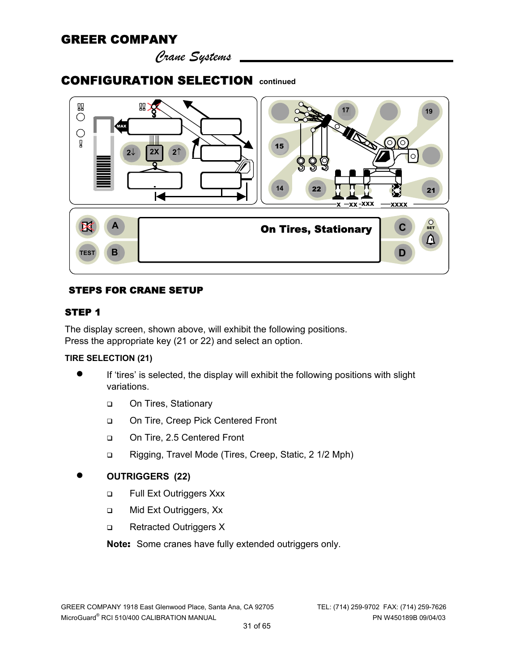*Crane Systems* 

### CONFIGURATION SELECTION **continued**



#### STEPS FOR CRANE SETUP

#### STEP 1

The display screen, shown above, will exhibit the following positions. Press the appropriate key (21 or 22) and select an option.

#### **TIRE SELECTION (21)**

- If 'tires' is selected, the display will exhibit the following positions with slight variations.
	- □ On Tires, Stationary
	- □ On Tire, Creep Pick Centered Front
	- □ On Tire, 2.5 Centered Front
	- □ Rigging, Travel Mode (Tires, Creep, Static, 2 1/2 Mph)

#### • **OUTRIGGERS (22)**

- □ Full Ext Outriggers Xxx
- □ Mid Ext Outriggers, Xx
- □ Retracted Outriggers X

**Note**: Some cranes have fully extended outriggers only.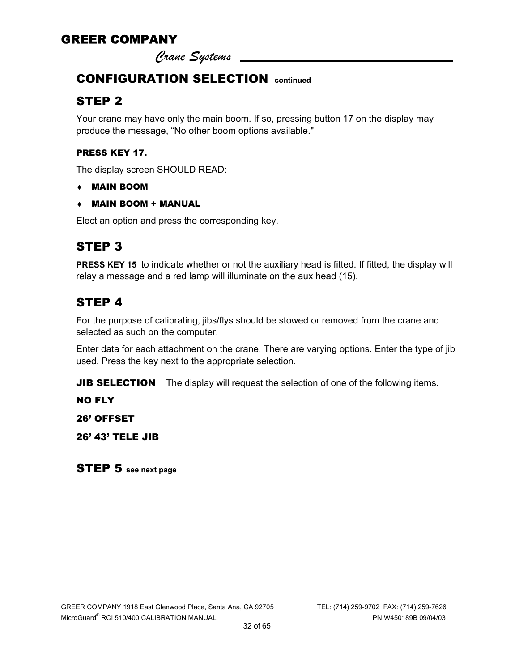*Crane Systems* 

# CONFIGURATION SELECTION **continued**

# STEP 2

Your crane may have only the main boom. If so, pressing button 17 on the display may produce the message, "No other boom options available."

#### PRESS KEY 17.

The display screen SHOULD READ:

- ♦ MAIN BOOM
- ♦ MAIN BOOM + MANUAL

Elect an option and press the corresponding key.

# STEP 3

PRESS KEY 15 to indicate whether or not the auxiliary head is fitted. If fitted, the display will relay a message and a red lamp will illuminate on the aux head (15).

# STEP 4

For the purpose of calibrating, jibs/flys should be stowed or removed from the crane and selected as such on the computer.

Enter data for each attachment on the crane. There are varying options. Enter the type of jib used. Press the key next to the appropriate selection.

**JIB SELECTION** The display will request the selection of one of the following items.

NO FLY

26' OFFSET

26' 43' TELE JIB

STEP 5 **see next page**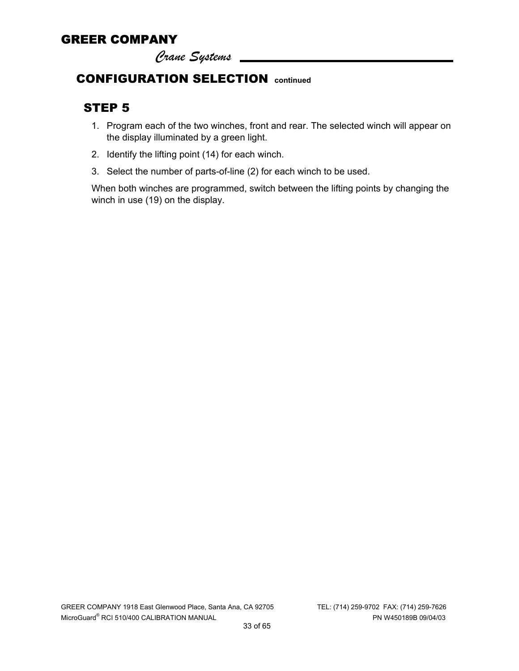*Crane Systems* 

### CONFIGURATION SELECTION **continued**

### STEP 5

- 1. Program each of the two winches, front and rear. The selected winch will appear on the display illuminated by a green light.
- 2. Identify the lifting point (14) for each winch.
- 3. Select the number of parts-of-line (2) for each winch to be used.

When both winches are programmed, switch between the lifting points by changing the winch in use (19) on the display.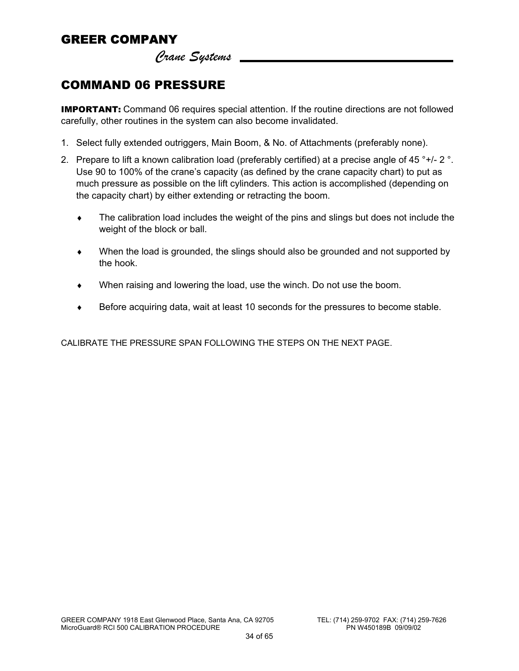*Crane Systems* 

### COMMAND 06 PRESSURE

**IMPORTANT:** Command 06 requires special attention. If the routine directions are not followed carefully, other routines in the system can also become invalidated.

- 1. Select fully extended outriggers, Main Boom, & No. of Attachments (preferably none).
- 2. Prepare to lift a known calibration load (preferably certified) at a precise angle of 45  $^{\circ}$ +/- 2  $^{\circ}$ . Use 90 to 100% of the crane's capacity (as defined by the crane capacity chart) to put as much pressure as possible on the lift cylinders. This action is accomplished (depending on the capacity chart) by either extending or retracting the boom.
	- ♦ The calibration load includes the weight of the pins and slings but does not include the weight of the block or ball.
	- ♦ When the load is grounded, the slings should also be grounded and not supported by the hook.
	- $\bullet$  When raising and lowering the load, use the winch. Do not use the boom.
	- Before acquiring data, wait at least 10 seconds for the pressures to become stable.

CALIBRATE THE PRESSURE SPAN FOLLOWING THE STEPS ON THE NEXT PAGE.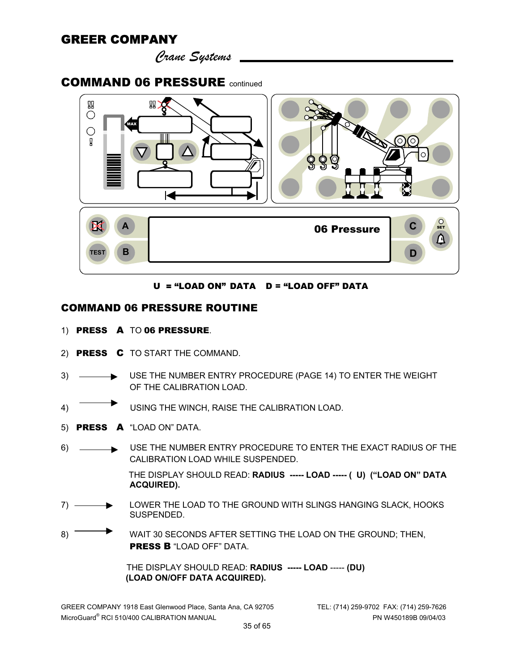*Crane Systems* 

#### COMMAND 06 PRESSURE continued



U = "LOAD ON" DATA D = "LOAD OFF" DATA

#### COMMAND 06 PRESSURE ROUTINE

- 1) PRESS A TO 06 PRESSURE.
- 2) PRESS C TO START THE COMMAND.
- 3) USE THE NUMBER ENTRY PROCEDURE (PAGE 14) TO ENTER THE WEIGHT OF THE CALIBRATION LOAD.
- 4) USING THE WINCH, RAISE THE CALIBRATION LOAD.
- 5) PRESS A "LOAD ON" DATA.
- 6) USE THE NUMBER ENTRY PROCEDURE TO ENTER THE EXACT RADIUS OF THE CALIBRATION LOAD WHILE SUSPENDED. THE DISPLAY SHOULD READ: **RADIUS ----- LOAD ----- ( U) ("LOAD ON" DATA**
- **ACQUIRED).**  7) LOWER THE LOAD TO THE GROUND WITH SLINGS HANGING SLACK, HOOKS
- SUSPENDED.
- 8) WAIT 30 SECONDS AFTER SETTING THE LOAD ON THE GROUND; THEN, PRESS B "LOAD OFF" DATA.

 THE DISPLAY SHOULD READ: **RADIUS ----- LOAD** ----- **(DU) (LOAD ON/OFF DATA ACQUIRED).**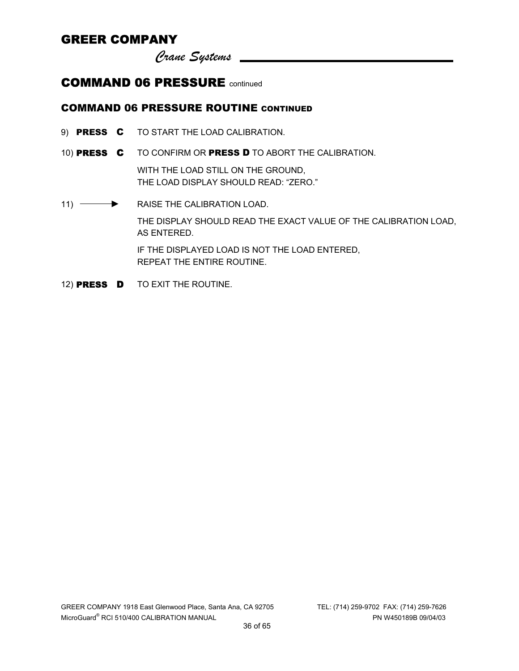*Crane Systems* 

#### COMMAND 06 PRESSURE continued

#### COMMAND 06 PRESSURE ROUTINE CONTINUED

- 9) **PRESS C** TO START THE LOAD CALIBRATION.
- 10) PRESS C TO CONFIRM OR PRESS D TO ABORT THE CALIBRATION.

WITH THE LOAD STILL ON THE GROUND, THE LOAD DISPLAY SHOULD READ: "ZERO."

- 11) **BELOCEM CONTROLLER FRAISE THE CALIBRATION LOAD.** THE DISPLAY SHOULD READ THE EXACT VALUE OF THE CALIBRATION LOAD, AS ENTERED. IF THE DISPLAYED LOAD IS NOT THE LOAD ENTERED, REPEAT THE ENTIRE ROUTINE.
- 12) PRESS D TO EXIT THE ROUTINE.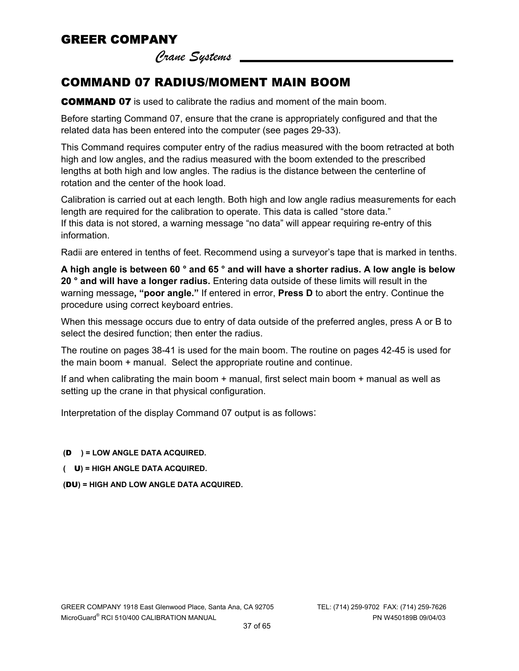*Crane Systems* 

# COMMAND 07 RADIUS/MOMENT MAIN BOOM

**COMMAND 07** is used to calibrate the radius and moment of the main boom.

Before starting Command 07, ensure that the crane is appropriately configured and that the related data has been entered into the computer (see pages 29-33).

This Command requires computer entry of the radius measured with the boom retracted at both high and low angles, and the radius measured with the boom extended to the prescribed lengths at both high and low angles. The radius is the distance between the centerline of rotation and the center of the hook load.

Calibration is carried out at each length. Both high and low angle radius measurements for each length are required for the calibration to operate. This data is called "store data." If this data is not stored, a warning message "no data" will appear requiring re-entry of this information.

Radii are entered in tenths of feet. Recommend using a surveyor's tape that is marked in tenths.

**A high angle is between 60 ° and 65 ° and will have a shorter radius. A low angle is below 20 ° and will have a longer radius.** Entering data outside of these limits will result in the warning message**, "poor angle."** If entered in error, **Press D** to abort the entry. Continue the procedure using correct keyboard entries.

When this message occurs due to entry of data outside of the preferred angles, press A or B to select the desired function; then enter the radius.

The routine on pages 38-41 is used for the main boom. The routine on pages 42-45 is used for the main boom + manual. Select the appropriate routine and continue.

If and when calibrating the main boom + manual, first select main boom + manual as well as setting up the crane in that physical configuration.

Interpretation of the display Command 07 output is as follows:

#### **(**D **) = LOW ANGLE DATA ACQUIRED.**

 **(** U**) = HIGH ANGLE DATA ACQUIRED.** 

 **(**DU**) = HIGH AND LOW ANGLE DATA ACQUIRED.**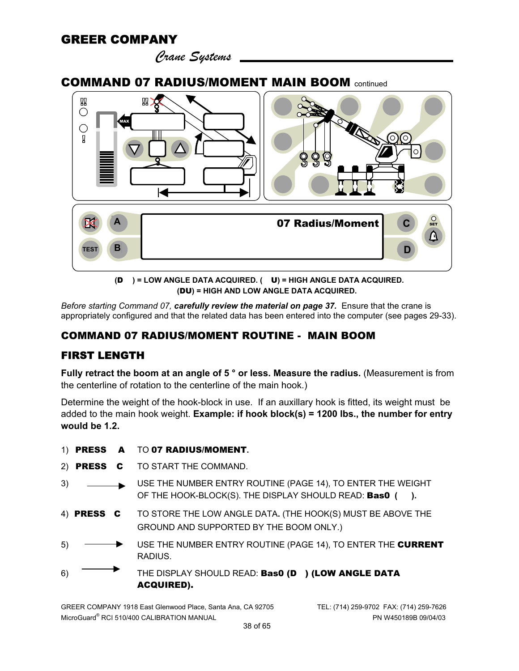*Crane Systems* 

#### COMMAND 07 RADIUS/MOMENT MAIN BOOM continued



**(**D **) = LOW ANGLE DATA ACQUIRED. (** U**) = HIGH ANGLE DATA ACQUIRED. (**DU**) = HIGH AND LOW ANGLE DATA ACQUIRED.** 

*Before starting Command 07, carefully review the material on page 37.* Ensure that the crane is appropriately configured and that the related data has been entered into the computer (see pages 29-33).

#### COMMAND 07 RADIUS/MOMENT ROUTINE - MAIN BOOM

#### FIRST LENGTH

**Fully retract the boom at an angle of 5 ° or less. Measure the radius.** (Measurement is from the centerline of rotation to the centerline of the main hook.)

Determine the weight of the hook-block in use. If an auxillary hook is fitted, its weight must be added to the main hook weight. **Example: if hook block(s) = 1200 lbs., the number for entry would be 1.2.**

|    |                    | 1) PRESS A TO 07 RADIUS/MOMENT.                                                                                        |
|----|--------------------|------------------------------------------------------------------------------------------------------------------------|
|    |                    | 2) PRESS C TO START THE COMMAND.                                                                                       |
|    | $3) \qquad \qquad$ | USE THE NUMBER ENTRY ROUTINE (PAGE 14), TO ENTER THE WEIGHT<br>OF THE HOOK-BLOCK(S). THE DISPLAY SHOULD READ: Bas0 (). |
|    |                    | 4) PRESS C TO STORE THE LOW ANGLE DATA. (THE HOOK(S) MUST BE ABOVE THE<br>GROUND AND SUPPORTED BY THE BOOM ONLY.)      |
| 5) |                    | USE THE NUMBER ENTRY ROUTINE (PAGE 14), TO ENTER THE CURRENT<br>RADIUS.                                                |
| 6) |                    | THE DISPLAY SHOULD READ: Bas0 (D) (LOW ANGLE DATA<br><b>ACQUIRED).</b>                                                 |

GREER COMPANY 1918 East Glenwood Place, Santa Ana, CA 92705 TEL: (714) 259-9702 FAX: (714) 259-7626 MicroGuard® RCI 510/400 CALIBRATION MANUAL PN W450189B 09/04/03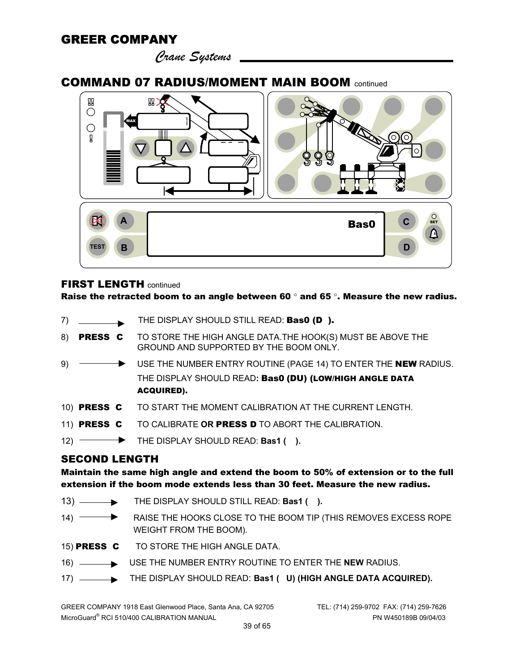*Crane Systems* 

#### COMMAND 07 RADIUS/MOMENT MAIN BOOM continued



#### **FIRST LENGTH continued**

Raise the retracted boom to an angle between 60  $^{\circ}$  and 65  $^{\circ}$ . Measure the new radius.

- 7) THE DISPLAY SHOULD STILL READ: **Bas0 (D).**
- 8) **PRESS C** TO STORE THE HIGH ANGLE DATA. THE HOOK(S) MUST BE ABOVE THE GROUND AND SUPPORTED BY THE BOOM ONLY.
- 9)  $\longrightarrow$  USE THE NUMBER ENTRY ROUTINE (PAGE 14) TO ENTER THE NEW RADIUS. THE DISPLAY SHOULD READ**:** Bas0 (DU) (LOW/HIGH ANGLE DATA ACQUIRED).
- 10)PRESS C TO START THE MOMENT CALIBRATION AT THE CURRENT LENGTH.
- 11)PRESS C TO CALIBRATE **OR** PRESS D TO ABORT THE CALIBRATION.
- 12) **FILE DISPLAY SHOULD READ: Bas1 ().**

#### SECOND LENGTH

Maintain the same high angle and extend the boom to 50% of extension or to the full extension if the boom mode extends less than 30 feet. Measure the new radius.

- 13) ——**•** THE DISPLAY SHOULD STILL READ: **Bas1** ( ).
- 14) RAISE THE HOOKS CLOSE TO THE BOOM TIP (THIS REMOVES EXCESS ROPE WEIGHT FROM THE BOOM).
- 15) PRESS C TO STORE THE HIGH ANGLE DATA.
- 16) USE THE NUMBER ENTRY ROUTINE TO ENTER THE **NEW** RADIUS.
- 17) ——**•** THE DISPLAY SHOULD READ: **Bas1 ( U) (HIGH ANGLE DATA ACQUIRED).**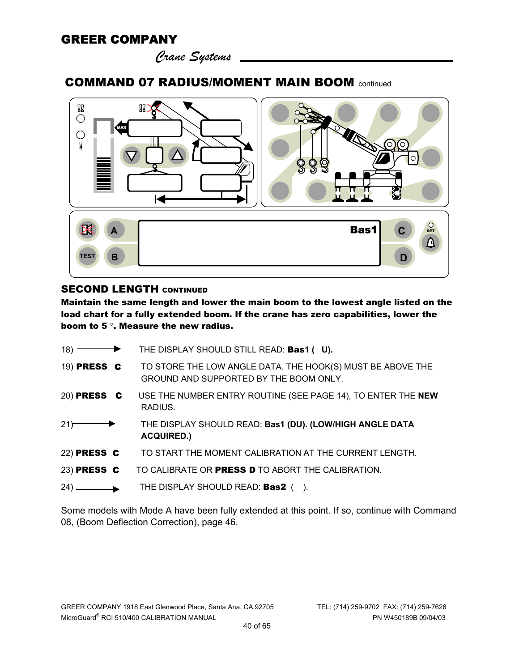*Crane Systems* 

### COMMAND 07 RADIUS/MOMENT MAIN BOOM continued



#### **SECOND LENGTH CONTINUED**

Maintain the same length and lower the main boom to the lowest angle listed on the load chart for a fully extended boom. If the crane has zero capabilities, lower the boom to 5 °. Measure the new radius.

| $18)$ $\overline{\phantom{1}}$ | THE DISPLAY SHOULD STILL READ: Bas1 (U).                                                             |
|--------------------------------|------------------------------------------------------------------------------------------------------|
| 19) PRESS C                    | TO STORE THE LOW ANGLE DATA. THE HOOK(S) MUST BE ABOVE THE<br>GROUND AND SUPPORTED BY THE BOOM ONLY. |
| 20) PRESS C                    | USE THE NUMBER ENTRY ROUTINE (SEE PAGE 14), TO ENTER THE NEW<br>RADIUS.                              |
| 21                             | THE DISPLAY SHOULD READ: Bas1 (DU). (LOW/HIGH ANGLE DATA<br><b>ACQUIRED.)</b>                        |
| 22) PRESS C                    | TO START THE MOMENT CALIBRATION AT THE CURRENT LENGTH.                                               |
| 23) PRESS C                    | TO CALIBRATE OR PRESS D TO ABORT THE CALIBRATION.                                                    |
|                                | THE DISPLAY SHOULD READ: Bas2 ().                                                                    |

Some models with Mode A have been fully extended at this point. If so, continue with Command 08, (Boom Deflection Correction), page 46.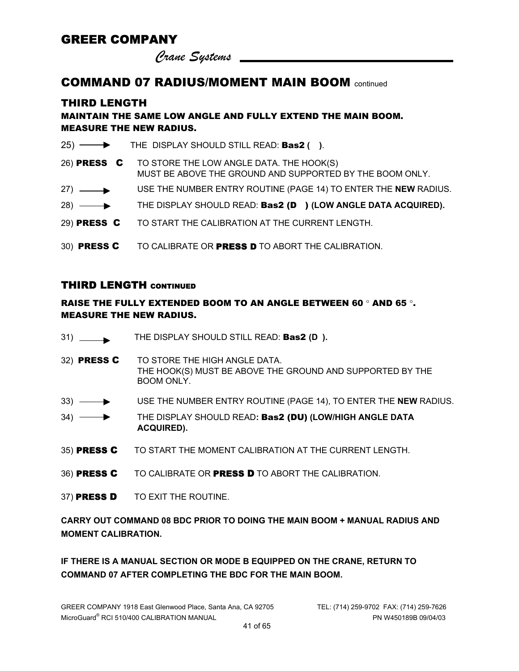*Crane Systems* 

#### COMMAND 07 RADIUS/MOMENT MAIN BOOM continued

#### THIRD LENGTH

#### MAINTAIN THE SAME LOW ANGLE AND FULLY EXTEND THE MAIN BOOM. MEASURE THE NEW RADIUS.

|                       | 25) THE DISPLAY SHOULD STILL READ: <b>Bas2</b> ().                                                               |
|-----------------------|------------------------------------------------------------------------------------------------------------------|
|                       | 26) PRESS C TO STORE THE LOW ANGLE DATA. THE HOOK(S)<br>MUST BE ABOVE THE GROUND AND SUPPORTED BY THE BOOM ONLY. |
| $27) \longrightarrow$ | USE THE NUMBER ENTRY ROUTINE (PAGE 14) TO ENTER THE NEW RADIUS.                                                  |
|                       | 28) — THE DISPLAY SHOULD READ: Bas2 (D) (LOW ANGLE DATA ACQUIRED).                                               |
|                       | 29) PRESS C TO START THE CALIBRATION AT THE CURRENT LENGTH.                                                      |
|                       | 30) PRESS C TO CALIBRATE OR PRESS D TO ABORT THE CALIBRATION.                                                    |

#### THIRD LENGTH CONTINUED

#### RAISE THE FULLY EXTENDED BOOM TO AN ANGLE BETWEEN 60 ° AND 65 °. MEASURE THE NEW RADIUS.

- 31) THE DISPLAY SHOULD STILL READ: Bas2 **(D ).**
- 32) PRESS C TO STORE THE HIGH ANGLE DATA. THE HOOK(S) MUST BE ABOVE THE GROUND AND SUPPORTED BY THE BOOM ONLY.
- 33) USE THE NUMBER ENTRY ROUTINE (PAGE 14), TO ENTER THE **NEW** RADIUS.
- 34) THE DISPLAY SHOULD READ**:** Bas2 (DU) **(LOW/HIGH ANGLE DATA ACQUIRED).**
- 35) PRESS C TO START THE MOMENT CALIBRATION AT THE CURRENT LENGTH.
- 36) PRESS C TO CALIBRATE OR PRESS D TO ABORT THE CALIBRATION.
- 37) PRESS D TO EXIT THE ROUTINE.

**CARRY OUT COMMAND 08 BDC PRIOR TO DOING THE MAIN BOOM + MANUAL RADIUS AND MOMENT CALIBRATION.** 

**IF THERE IS A MANUAL SECTION OR MODE B EQUIPPED ON THE CRANE, RETURN TO COMMAND 07 AFTER COMPLETING THE BDC FOR THE MAIN BOOM.**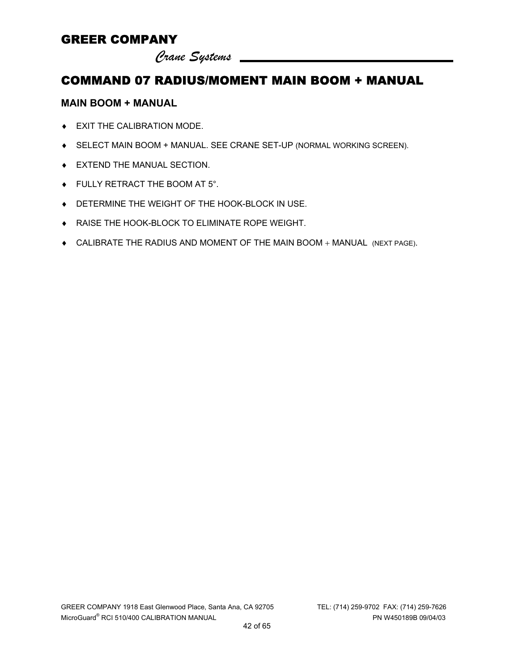*Crane Systems* 

# COMMAND 07 RADIUS/MOMENT MAIN BOOM + MANUAL

#### **MAIN BOOM + MANUAL**

- ♦ EXIT THE CALIBRATION MODE.
- ♦ SELECT MAIN BOOM + MANUAL. SEE CRANE SET-UP (NORMAL WORKING SCREEN).
- ♦ EXTEND THE MANUAL SECTION.
- ♦ FULLY RETRACT THE BOOM AT 5°.
- ♦ DETERMINE THE WEIGHT OF THE HOOK-BLOCK IN USE.
- ♦ RAISE THE HOOK-BLOCK TO ELIMINATE ROPE WEIGHT.
- ♦ CALIBRATE THE RADIUS AND MOMENT OF THE MAIN BOOM + MANUAL (NEXT PAGE).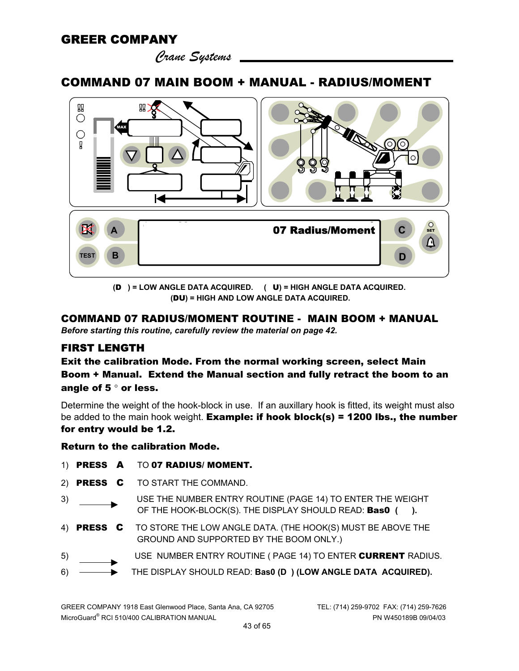*Crane Systems* 

#### COMMAND 07 MAIN BOOM + MANUAL - RADIUS/MOMENT



**(**D **) = LOW ANGLE DATA ACQUIRED. (** U**) = HIGH ANGLE DATA ACQUIRED. (**DU**) = HIGH AND LOW ANGLE DATA ACQUIRED.** 

#### COMMAND 07 RADIUS/MOMENT ROUTINE - MAIN BOOM + MANUAL

*Before starting this routine, carefully review the material on page 42.* 

#### FIRST LENGTH

Exit the calibration Mode. From the normal working screen, select Main Boom + Manual. Extend the Manual section and fully retract the boom to an angle of 5 ° or less.

Determine the weight of the hook-block in use. If an auxillary hook is fitted, its weight must also be added to the main hook weight. **Example: if hook block(s) = 1200 lbs., the number** for entry would be 1.2.

#### Return to the calibration Mode.

- 1) PRESS A TO 07 RADIUS/ MOMENT.
- 2) PRESS C TO START THE COMMAND.
- 3) USE THE NUMBER ENTRY ROUTINE (PAGE 14) TO ENTER THE WEIGHT OF THE HOOK-BLOCK(S). THE DISPLAY SHOULD READ: Bas0 **( ).**
- 4) PRESS C TO STORE THE LOW ANGLE DATA. (THE HOOK(S) MUST BE ABOVE THE GROUND AND SUPPORTED BY THE BOOM ONLY.)
- 5) USE NUMBER ENTRY ROUTINE ( PAGE 14) TO ENTER CURRENT RADIUS.
- 6) THE DISPLAY SHOULD READ: **Bas0 (D ) (LOW ANGLE DATA ACQUIRED).**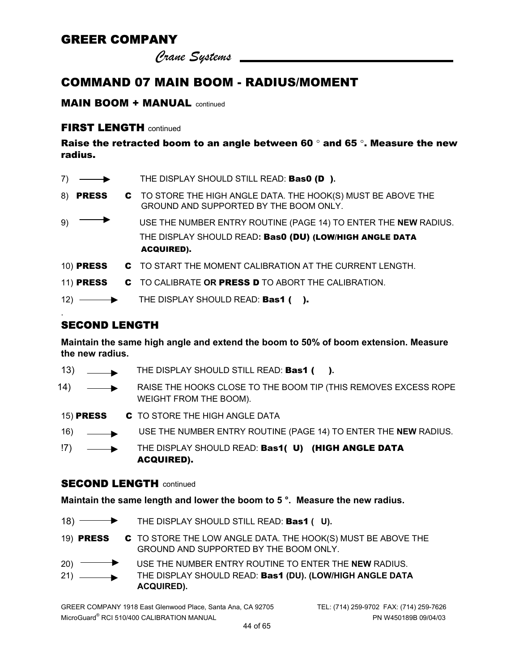*Crane Systems* 

### COMMAND 07 MAIN BOOM - RADIUS/MOMENT

#### MAIN BOOM + MANUAL continued

#### FIRST LENGTH continued

Raise the retracted boom to an angle between 60  $^{\circ}$  and 65  $^{\circ}$ . Measure the new radius.

| 7)               | THE DISPLAY SHOULD STILL READ: <b>Bas0 (D).</b>                                                         |
|------------------|---------------------------------------------------------------------------------------------------------|
| 8) <b>PRESS</b>  | C TO STORE THE HIGH ANGLE DATA. THE HOOK(S) MUST BE ABOVE THE<br>GROUND AND SUPPORTED BY THE BOOM ONLY. |
| 9)               | USE THE NUMBER ENTRY ROUTINE (PAGE 14) TO ENTER THE NEW RADIUS.                                         |
|                  | THE DISPLAY SHOULD READ: Bas0 (DU) (LOW/HIGH ANGLE DATA                                                 |
|                  | <b>ACQUIRED).</b>                                                                                       |
| <b>10) PRESS</b> | C TO START THE MOMENT CALIBRATION AT THE CURRENT LENGTH.                                                |
| <b>11) PRESS</b> | C TO CALIBRATE OR PRESS D TO ABORT THE CALIBRATION.                                                     |
|                  | 12) THE DISPLAY SHOULD READ: <b>Bas1 ().</b>                                                            |

#### SECOND LENGTH

.

**Maintain the same high angle and extend the boom to 50% of boom extension. Measure the new radius.** 

- 13) THE DISPLAY SHOULD STILL READ: **Bas1 (** ).
- 14)  $\longrightarrow$  RAISE THE HOOKS CLOSE TO THE BOOM TIP (THIS REMOVES EXCESS ROPE WEIGHT FROM THE BOOM).
- 15) PRESS C TO STORE THE HIGH ANGLE DATA
- 16) USE THE NUMBER ENTRY ROUTINE (PAGE 14) TO ENTER THE **NEW** RADIUS.
- !7) THE DISPLAY SHOULD READ: Bas1( U) (HIGH ANGLE DATA ACQUIRED).

#### **SECOND LENGTH** continued

**Maintain the same length and lower the boom to 5 °. Measure the new radius.**

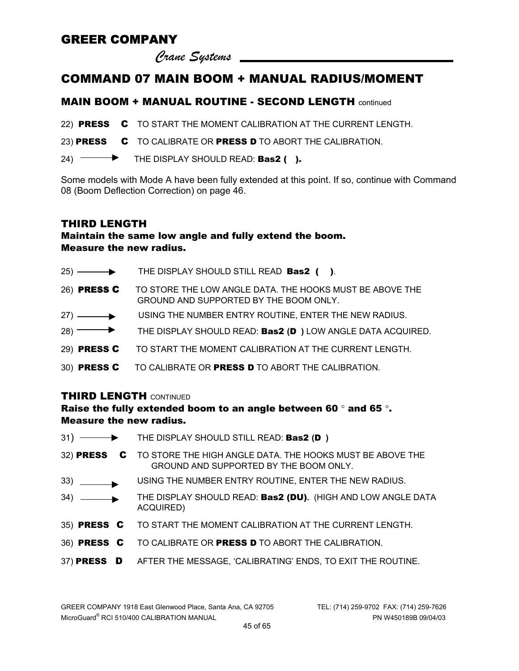*Crane Systems* 

#### COMMAND 07 MAIN BOOM + MANUAL RADIUS/MOMENT

#### MAIN BOOM + MANUAL ROUTINE - SECOND LENGTH continued

22) PRESS C TO START THE MOMENT CALIBRATION AT THE CURRENT LENGTH.

23) PRESS C TO CALIBRATE OR PRESS D TO ABORT THE CALIBRATION.

24)  $\longrightarrow$  THE DISPLAY SHOULD READ: Bas2 ().

Some models with Mode A have been fully extended at this point. If so, continue with Command 08 (Boom Deflection Correction) on page 46.

#### THIRD LENGTH

#### Maintain the same low angle and fully extend the boom. Measure the new radius.

- $25)$  THE DISPLAY SHOULD STILL READ **Bas2** ( ).
- 26) PRESS C TO STORE THE LOW ANGLE DATA. THE HOOKS MUST BE ABOVE THE GROUND AND SUPPORTED BY THE BOOM ONLY.
- 27) USING THE NUMBER ENTRY ROUTINE, ENTER THE NEW RADIUS.
- 28) THE DISPLAY SHOULD READ: **Bas2 (D**) LOW ANGLE DATA ACQUIRED.
- 29) PRESS C TO START THE MOMENT CALIBRATION AT THE CURRENT LENGTH.
- 30) PRESS C TO CALIBRATE OR PRESS D TO ABORT THE CALIBRATION.

#### THIRD LENGTH CONTINUED

#### Raise the fully extended boom to an angle between 60 ° and 65 °. Measure the new radius.

|                         | $31)$ $\longrightarrow$ THE DISPLAY SHOULD STILL READ: Bas2 (D)                                                 |
|-------------------------|-----------------------------------------------------------------------------------------------------------------|
|                         | 32) PRESS C TO STORE THE HIGH ANGLE DATA. THE HOOKS MUST BE ABOVE THE<br>GROUND AND SUPPORTED BY THE BOOM ONLY. |
|                         | USING THE NUMBER ENTRY ROUTINE, ENTER THE NEW RADIUS.                                                           |
| $34)$ $\longrightarrow$ | THE DISPLAY SHOULD READ: Bas2 (DU). (HIGH AND LOW ANGLE DATA<br>ACQUIRED)                                       |
|                         | 35) PRESS C TO START THE MOMENT CALIBRATION AT THE CURRENT LENGTH.                                              |
|                         | 36) PRESS C TO CALIBRATE OR PRESS D TO ABORT THE CALIBRATION.                                                   |
|                         | 37) PRESS D AFTER THE MESSAGE, 'CALIBRATING' ENDS, TO EXIT THE ROUTINE.                                         |
|                         |                                                                                                                 |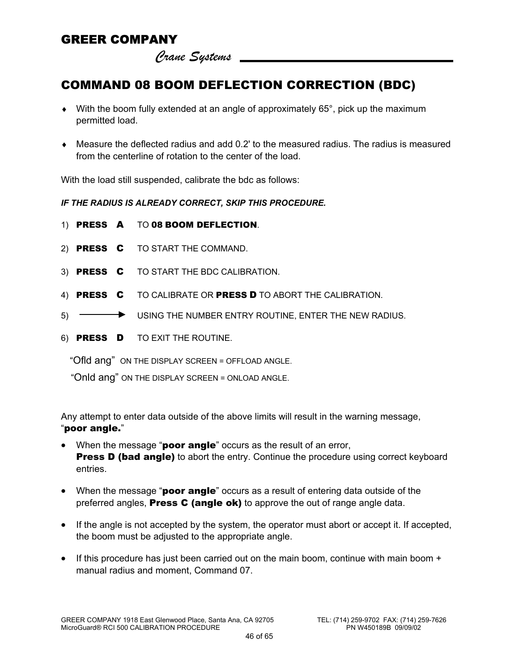*Crane Systems* 

# COMMAND 08 BOOM DEFLECTION CORRECTION (BDC)

- $\bullet$  With the boom fully extended at an angle of approximately 65°, pick up the maximum permitted load.
- ♦ Measure the deflected radius and add 0.2' to the measured radius. The radius is measured from the centerline of rotation to the center of the load.

With the load still suspended, calibrate the bdc as follows:

*IF THE RADIUS IS ALREADY CORRECT, SKIP THIS PROCEDURE.* 

- 1) PRESS A TO 08 BOOM DEFLECTION.
- 2) PRESS C TO START THE COMMAND.
- 3) PRESS C TO START THE BDC CALIBRATION.
- 4) PRESS C TO CALIBRATE OR PRESS D TO ABORT THE CALIBRATION.
- 5) USING THE NUMBER ENTRY ROUTINE, ENTER THE NEW RADIUS.
- 6) PRESS D TO EXIT THE ROUTINE.

"Ofld ang" ON THE DISPLAY SCREEN = OFFLOAD ANGLE.

"Onld ang" ON THE DISPLAY SCREEN = ONLOAD ANGLE.

Any attempt to enter data outside of the above limits will result in the warning message, "poor angle."

- When the message "**poor angle**" occurs as the result of an error, **Press D (bad angle)** to abort the entry. Continue the procedure using correct keyboard entries.
- When the message "poor angle" occurs as a result of entering data outside of the preferred angles, **Press C (angle ok)** to approve the out of range angle data.
- If the angle is not accepted by the system, the operator must abort or accept it. If accepted, the boom must be adjusted to the appropriate angle.
- If this procedure has just been carried out on the main boom, continue with main boom + manual radius and moment, Command 07.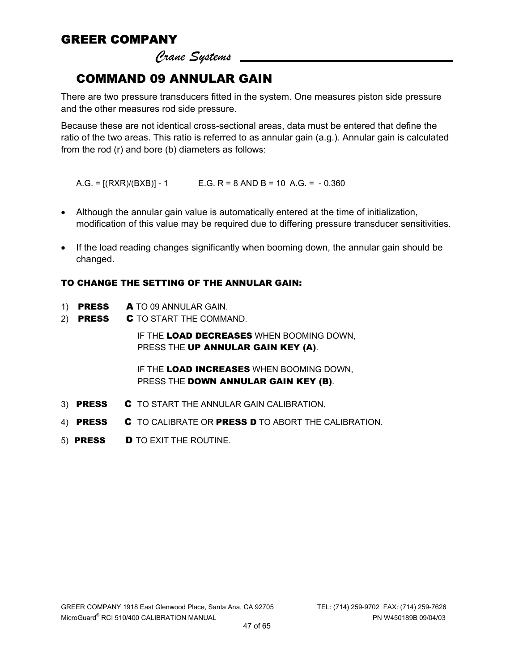*Crane Systems* 

### COMMAND 09 ANNULAR GAIN

There are two pressure transducers fitted in the system. One measures piston side pressure and the other measures rod side pressure.

Because these are not identical cross-sectional areas, data must be entered that define the ratio of the two areas. This ratio is referred to as annular gain (a.g.). Annular gain is calculated from the rod (r) and bore (b) diameters as follows:

 $A.G. = [(RXR)/(BXB)] - 1$   $E.G. R = 8 \text{ AND } B = 10 \text{ A.G.} = -0.360$ 

- Although the annular gain value is automatically entered at the time of initialization, modification of this value may be required due to differing pressure transducer sensitivities.
- If the load reading changes significantly when booming down, the annular gain should be changed.

#### TO CHANGE THE SETTING OF THE ANNULAR GAIN:

- 1) PRESS A TO 09 ANNULAR GAIN.
- 2) **PRESS C** TO START THE COMMAND.

IF THE LOAD DECREASES WHEN BOOMING DOWN, PRESS THE UP ANNULAR GAIN KEY (A).

IF THE LOAD INCREASES WHEN BOOMING DOWN. PRESS THE DOWN ANNULAR GAIN KEY (B).

- 3) PRESS C TO START THE ANNULAR GAIN CALIBRATION.
- 4) **PRESS C** TO CALIBRATE OR PRESS D TO ABORT THE CALIBRATION.
- 5) PRESS D TO EXIT THE ROUTINE.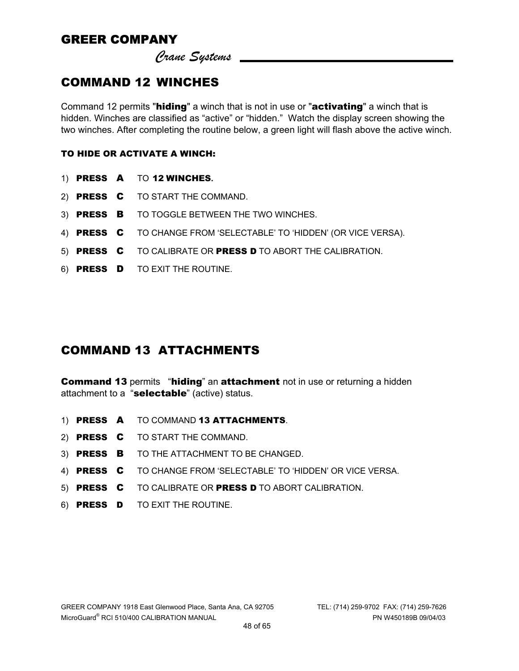*Crane Systems* 

# COMMAND 12 WINCHES

Command 12 permits "hiding" a winch that is not in use or "activating" a winch that is hidden. Winches are classified as "active" or "hidden." Watch the display screen showing the two winches. After completing the routine below, a green light will flash above the active winch.

#### TO HIDE OR ACTIVATE A WINCH:

- 1) PRESS A TO 12 WINCHES**.**
- 2) PRESS C TO START THE COMMAND.
- 3) PRESS B TO TOGGLE BETWEEN THE TWO WINCHES.
- 4) PRESS C TO CHANGE FROM 'SELECTABLE' TO 'HIDDEN' (OR VICE VERSA).
- 5) PRESS C TO CALIBRATE OR PRESS D TO ABORT THE CALIBRATION.
- 6) PRESS D TO EXIT THE ROUTINE.

### COMMAND 13 ATTACHMENTS

**Command 13 permits "hiding" an attachment not in use or returning a hidden** attachment to a "selectable" (active) status.

- 1) PRESS A TO COMMAND 13 ATTACHMENTS.
- 2) PRESS C TO START THE COMMAND.
- 3) PRESS B TO THE ATTACHMENT TO BE CHANGED.
- 4) PRESS C TO CHANGE FROM 'SELECTABLE' TO 'HIDDEN' OR VICE VERSA.
- 5) PRESS C TO CALIBRATE OR PRESS D TO ABORT CALIBRATION.
- 6) PRESS D TO EXIT THE ROUTINE.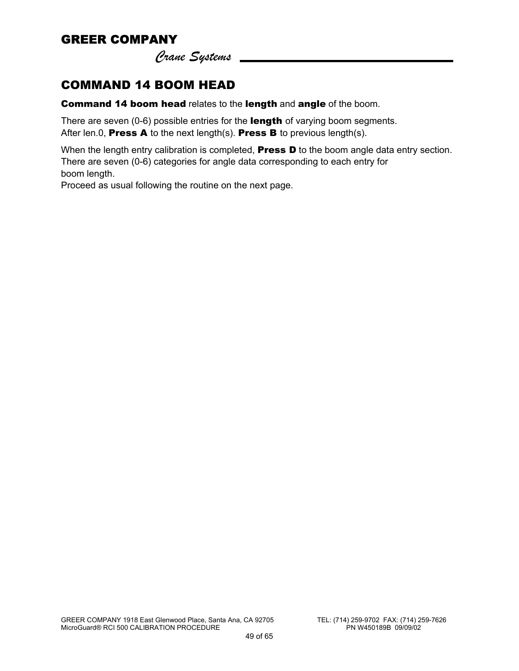*Crane Systems* 

# COMMAND 14 BOOM HEAD

Command 14 boom head relates to the length and angle of the boom.

There are seven (0-6) possible entries for the length of varying boom segments. After len.0, **Press A** to the next length(s). **Press B** to previous length(s).

When the length entry calibration is completed, **Press D** to the boom angle data entry section. There are seven (0-6) categories for angle data corresponding to each entry for boom length.

Proceed as usual following the routine on the next page.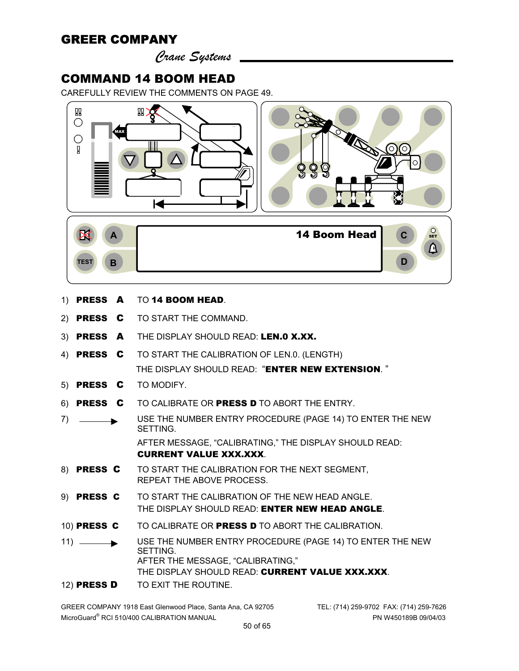*Crane Systems* 

#### COMMAND 14 BOOM HEAD

CAREFULLY REVIEW THE COMMENTS ON PAGE 49.



- 1) PRESS A TO 14 BOOM HEAD.
- 2) PRESS C TO START THE COMMAND.
- 3) PRESS A THE DISPLAY SHOULD READ: LEN.0 X.XX.
- 4) PRESS C TO START THE CALIBRATION OF LEN.0. (LENGTH) THE DISPLAY SHOULD READ: "ENTER NEW EXTENSION."
- 5) PRESS C TO MODIFY.
- 6) PRESS C TO CALIBRATE OR PRESS D TO ABORT THE ENTRY.
- 7) USE THE NUMBER ENTRY PROCEDURE (PAGE 14) TO ENTER THE NEW SETTING. AFTER MESSAGE, "CALIBRATING," THE DISPLAY SHOULD READ: CURRENT VALUE XXX.XXX.
- 8) PRESS C TO START THE CALIBRATION FOR THE NEXT SEGMENT, REPEAT THE ABOVE PROCESS.
- 9) PRESS C TO START THE CALIBRATION OF THE NEW HEAD ANGLE. THE DISPLAY SHOULD READ: **ENTER NEW HEAD ANGLE.**
- 10) PRESS C TO CALIBRATE OR PRESS D TO ABORT THE CALIBRATION.
- 11) USE THE NUMBER ENTRY PROCEDURE (PAGE 14) TO ENTER THE NEW SETTING. AFTER THE MESSAGE, "CALIBRATING," THE DISPLAY SHOULD READ: CURRENT VALUE XXX.XXX.
- 12) PRESS D TO EXIT THE ROUTINE.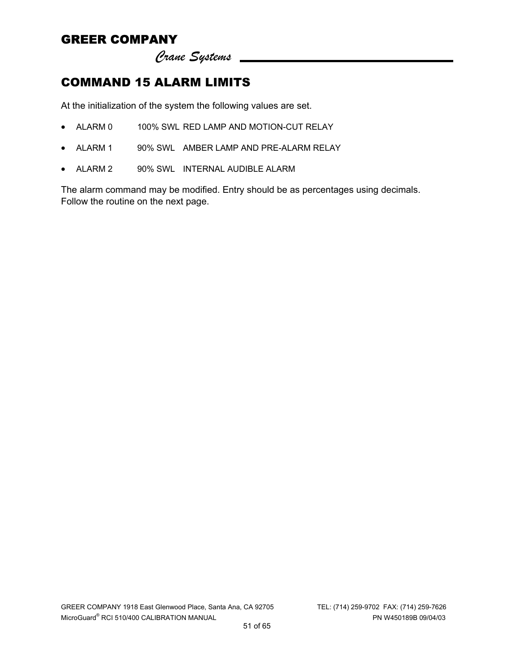*Crane Systems* 

# COMMAND 15 ALARM LIMITS

At the initialization of the system the following values are set.

- ALARM 0 100% SWL RED LAMP AND MOTION-CUT RELAY
- ALARM 1 90% SWL AMBER LAMP AND PRE-ALARM RELAY
- ALARM 2 90% SWL INTERNAL AUDIBLE ALARM

The alarm command may be modified. Entry should be as percentages using decimals. Follow the routine on the next page.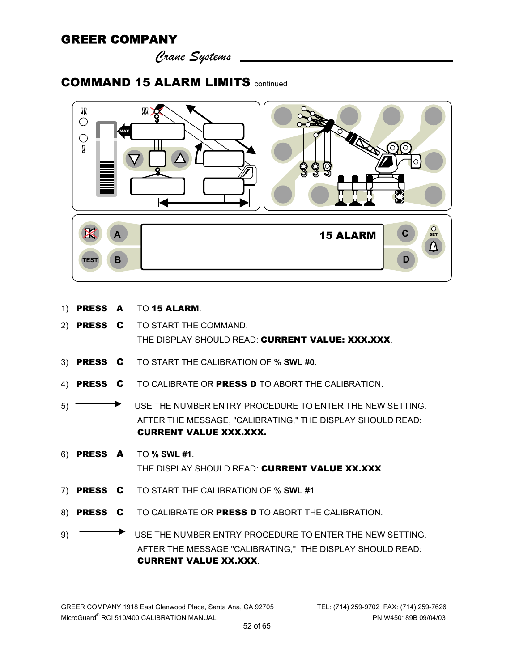*Crane Systems* 

### COMMAND 15 ALARM LIMITS continued



- 1) PRESS A TO 15 ALARM.
- 2) PRESS C TO START THE COMMAND. THE DISPLAY SHOULD READ: CURRENT VALUE: XXX.XXX.
- 3) PRESS C TO START THE CALIBRATION OF % **SWL #0**.
- 4) PRESS C TO CALIBRATE OR PRESS D TO ABORT THE CALIBRATION.
- 5) USE THE NUMBER ENTRY PROCEDURE TO ENTER THE NEW SETTING. AFTER THE MESSAGE, "CALIBRATING," THE DISPLAY SHOULD READ: CURRENT VALUE XXX.XXX.
- 6) PRESS A TO **% SWL #1**. THE DISPLAY SHOULD READ: CURRENT VALUE XX.XXX
- 7) PRESS C TO START THE CALIBRATION OF % **SWL #1**.
- 8) PRESS C TO CALIBRATE OR PRESS D TO ABORT THE CALIBRATION.

9) USE THE NUMBER ENTRY PROCEDURE TO ENTER THE NEW SETTING. AFTER THE MESSAGE "CALIBRATING," THE DISPLAY SHOULD READ: CURRENT VALUE XX.XXX.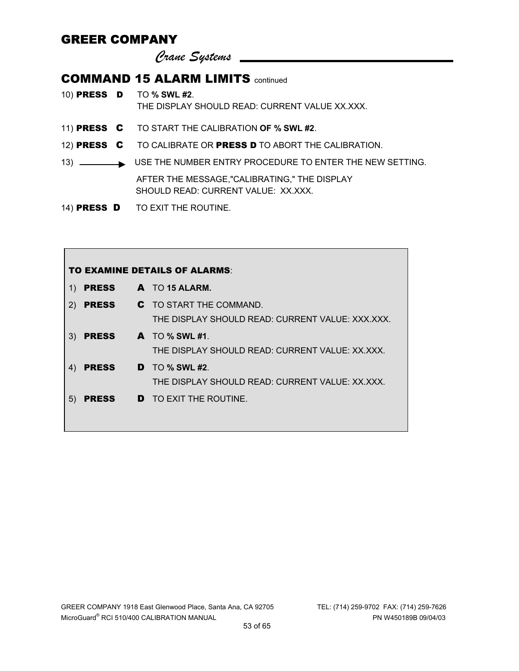*Crane Systems* 

### **COMMAND 15 ALARM LIMITS** continued

|  | 10) <b>PRESS D</b> TO % SWL #2.<br>THE DISPLAY SHOULD READ: CURRENT VALUE XX.XXX.   |
|--|-------------------------------------------------------------------------------------|
|  | 11) PRESS C TO START THE CALIBRATION OF % SWL #2.                                   |
|  | 12) PRESS C TO CALIBRATE OR PRESS D TO ABORT THE CALIBRATION.                       |
|  | 13) USE THE NUMBER ENTRY PROCEDURE TO ENTER THE NEW SETTING.                        |
|  | AFTER THE MESSAGE,"CALIBRATING," THE DISPLAY<br>SHOULD READ: CURRENT VALUE: XX.XXX. |
|  | 14) PRESS D TO EXIT THE ROUTINE.                                                    |

| <b>TO EXAMINE DETAILS OF ALARMS:</b> |              |  |                                                  |
|--------------------------------------|--------------|--|--------------------------------------------------|
| 1)                                   | <b>PRESS</b> |  | $A$ TO 15 ALARM.                                 |
| 2)                                   | <b>PRESS</b> |  | <b>C</b> TO START THE COMMAND.                   |
|                                      |              |  | THE DISPLAY SHOULD READ: CURRENT VALUE: XXX.XXX. |
| 3)                                   | <b>PRESS</b> |  | $\mathbf{A}$ TO % SWL #1.                        |
|                                      |              |  | THE DISPLAY SHOULD READ: CURRENT VALUE: XX XXX.  |
| 4)                                   | <b>PRESS</b> |  | $\mathbf{D}$ TO % SWL #2.                        |
|                                      |              |  | THE DISPLAY SHOULD READ: CURRENT VALUE: XX.XXX.  |
| 5)                                   | <b>PRESS</b> |  | <b>D</b> TO EXIT THE ROUTINE.                    |
|                                      |              |  |                                                  |
|                                      |              |  |                                                  |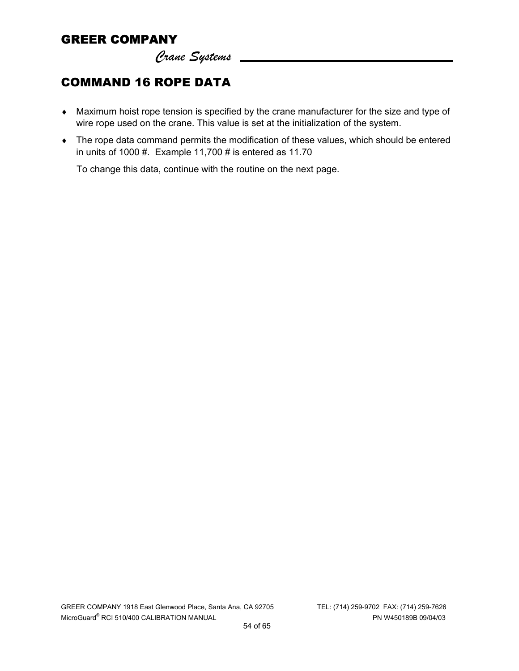*Crane Systems* 

# COMMAND 16 ROPE DATA

- ♦ Maximum hoist rope tension is specified by the crane manufacturer for the size and type of wire rope used on the crane. This value is set at the initialization of the system.
- ♦ The rope data command permits the modification of these values, which should be entered in units of 1000 #. Example 11,700 # is entered as 11.70

To change this data, continue with the routine on the next page.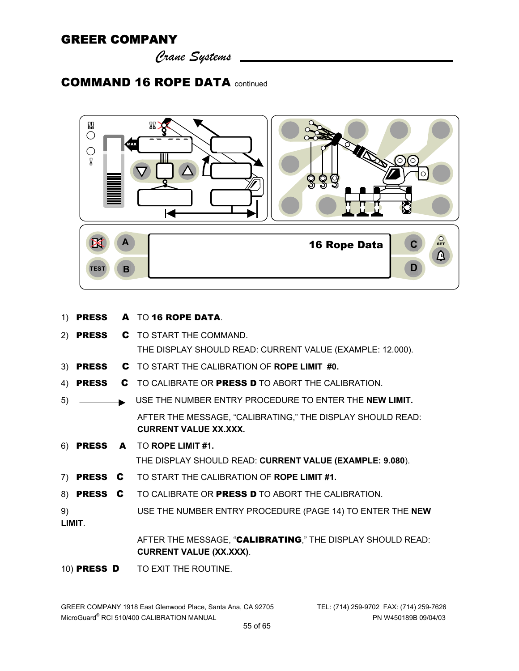*Crane Systems* 

# COMMAND 16 ROPE DATA continued



|    |              | 1) PRESS A TO 16 ROPE DATA.                                                                  |
|----|--------------|----------------------------------------------------------------------------------------------|
|    |              | 2) PRESS C TO START THE COMMAND.                                                             |
|    |              | THE DISPLAY SHOULD READ: CURRENT VALUE (EXAMPLE: 12.000).                                    |
|    |              | 3) PRESS C TO START THE CALIBRATION OF ROPE LIMIT #0.                                        |
| 4) | <b>PRESS</b> | C TO CALIBRATE OR PRESS D TO ABORT THE CALIBRATION.                                          |
| 5) |              | USE THE NUMBER ENTRY PROCEDURE TO ENTER THE NEW LIMIT.                                       |
|    |              | AFTER THE MESSAGE, "CALIBRATING," THE DISPLAY SHOULD READ:<br><b>CURRENT VALUE XX.XXX.</b>   |
|    |              | 6) PRESS A TO ROPE LIMIT #1.                                                                 |
|    |              | THE DISPLAY SHOULD READ: CURRENT VALUE (EXAMPLE: 9.080).                                     |
|    |              | 7) PRESS C TO START THE CALIBRATION OF ROPE LIMIT #1.                                        |
|    |              | 8) PRESS C TO CALIBRATE OR PRESS D TO ABORT THE CALIBRATION.                                 |
| 9) | LIMIT.       | USE THE NUMBER ENTRY PROCEDURE (PAGE 14) TO ENTER THE NEW                                    |
|    |              | AFTER THE MESSAGE, "CALIBRATING," THE DISPLAY SHOULD READ:<br><b>CURRENT VALUE (XX.XXX).</b> |
|    |              |                                                                                              |

10) PRESS **D** TO EXIT THE ROUTINE.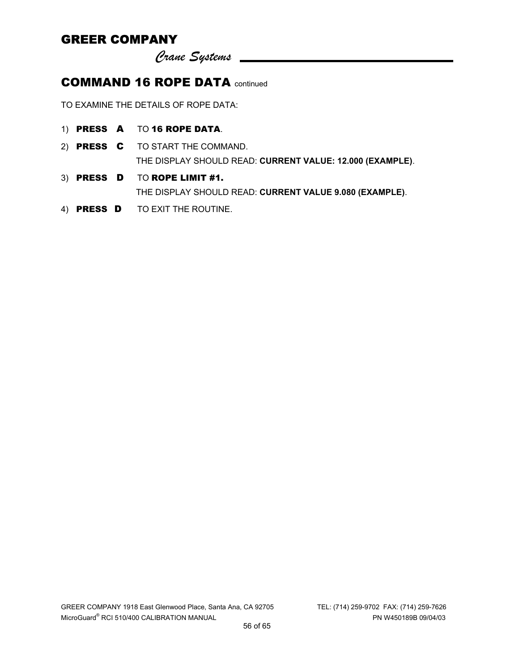*Crane Systems* 

# COMMAND 16 ROPE DATA continued

TO EXAMINE THE DETAILS OF ROPE DATA:

- 1) PRESS A TO 16 ROPE DATA.
- 2) PRESS C TO START THE COMMAND. THE DISPLAY SHOULD READ: **CURRENT VALUE: 12.000 (EXAMPLE)**.
- 3) PRESS D TO ROPE LIMIT #1. THE DISPLAY SHOULD READ: **CURRENT VALUE 9.080 (EXAMPLE)**.
- 4) **PRESS D** TO EXIT THE ROUTINE.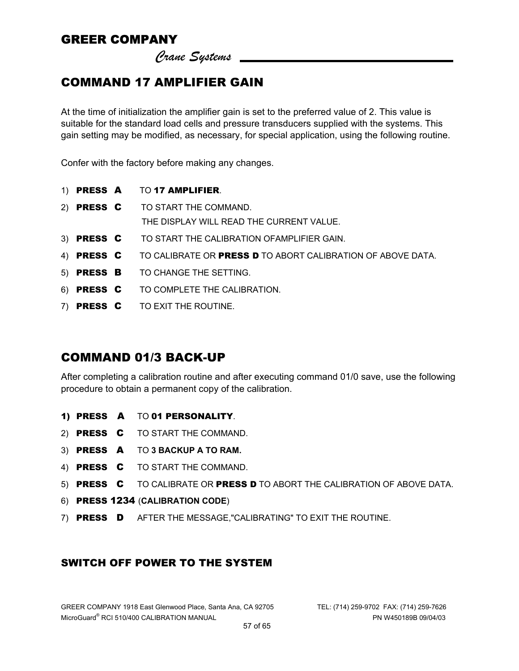*Crane Systems* 

# COMMAND 17 AMPLIFIER GAIN

At the time of initialization the amplifier gain is set to the preferred value of 2. This value is suitable for the standard load cells and pressure transducers supplied with the systems. This gain setting may be modified, as necessary, for special application, using the following routine.

Confer with the factory before making any changes.

- 1) PRESS A TO 17 AMPLIFIER.
- 2) PRESS C TO START THE COMMAND. THE DISPLAY WILL READ THE CURRENT VALUE.
- 3) PRESS C TO START THE CALIBRATION OFAMPLIFIER GAIN.
- 4) PRESS C TO CALIBRATE OR PRESS D TO ABORT CALIBRATION OF ABOVE DATA.
- 5) PRESS B TO CHANGE THE SETTING.
- 6) PRESS C TO COMPLETE THE CALIBRATION.
- 7) PRESS CTO EXIT THE ROUTINE.

#### COMMAND 01/3 BACK-UP

After completing a calibration routine and after executing command 01/0 save, use the following procedure to obtain a permanent copy of the calibration.

- 1) PRESS A TO 01 PERSONALITY.
- 2) PRESS C TO START THE COMMAND.
- 3) PRESS A TO **3 BACKUP A TO RAM.**
- 4) PRESS C TO START THE COMMAND.
- 5) PRESS C TO CALIBRATE OR PRESS D TO ABORT THE CALIBRATION OF ABOVE DATA.
- 6) PRESS 1234 (**CALIBRATION CODE**)
- 7) PRESS D AFTER THE MESSAGE,"CALIBRATING" TO EXIT THE ROUTINE.

#### SWITCH OFF POWER TO THE SYSTEM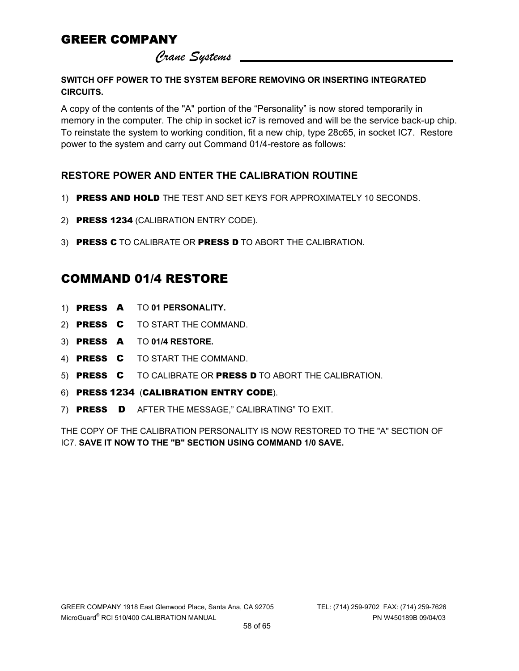*Crane Systems* 

**SWITCH OFF POWER TO THE SYSTEM BEFORE REMOVING OR INSERTING INTEGRATED CIRCUITS.** 

A copy of the contents of the "A" portion of the "Personality" is now stored temporarily in memory in the computer. The chip in socket ic7 is removed and will be the service back-up chip. To reinstate the system to working condition, fit a new chip, type 28c65, in socket IC7. Restore power to the system and carry out Command 01/4-restore as follows:

#### **RESTORE POWER AND ENTER THE CALIBRATION ROUTINE**

- 1) PRESS AND HOLD THE TEST AND SET KEYS FOR APPROXIMATELY 10 SECONDS.
- 2) PRESS 1234 (CALIBRATION ENTRY CODE).
- 3) PRESS C TO CALIBRATE OR PRESS D TO ABORT THE CALIBRATION.

### COMMAND 01/4 RESTORE

- 1) PRESS A TO **01 PERSONALITY.**
- 2) PRESS C TO START THE COMMAND.
- 3) PRESS A TO **01/4 RESTORE.**
- 4) PRESS C TO START THE COMMAND.
- 5) PRESS C TO CALIBRATE OR PRESS D TO ABORT THE CALIBRATION.
- 6) PRESS 1234 (CALIBRATION ENTRY CODE).
- 7) PRESS D AFTER THE MESSAGE," CALIBRATING" TO EXIT.

THE COPY OF THE CALIBRATION PERSONALITY IS NOW RESTORED TO THE "A" SECTION OF IC7. **SAVE IT NOW TO THE "B" SECTION USING COMMAND 1/0 SAVE.**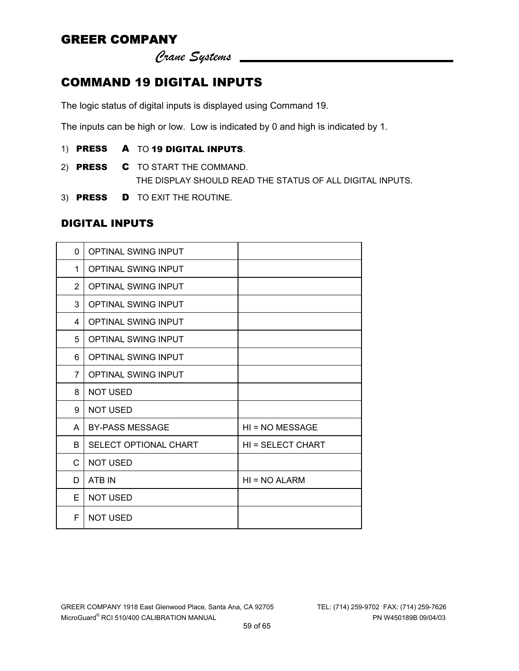*Crane Systems* 

# COMMAND 19 DIGITAL INPUTS

The logic status of digital inputs is displayed using Command 19.

The inputs can be high or low. Low is indicated by 0 and high is indicated by 1.

- 1) PRESS A TO 19 DIGITAL INPUTS.
- 2) **PRESS C** TO START THE COMMAND. THE DISPLAY SHOULD READ THE STATUS OF ALL DIGITAL INPUTS.
- 3) PRESS D TO EXIT THE ROUTINE.

#### DIGITAL INPUTS

| 0              | <b>OPTINAL SWING INPUT</b>   |                   |
|----------------|------------------------------|-------------------|
| 1              | <b>OPTINAL SWING INPUT</b>   |                   |
| 2              | <b>OPTINAL SWING INPUT</b>   |                   |
| 3              | <b>OPTINAL SWING INPUT</b>   |                   |
| 4              | OPTINAL SWING INPUT          |                   |
| 5              | <b>OPTINAL SWING INPUT</b>   |                   |
| 6              | <b>OPTINAL SWING INPUT</b>   |                   |
| $\overline{7}$ | <b>OPTINAL SWING INPUT</b>   |                   |
| 8              | <b>NOT USED</b>              |                   |
| 9              | <b>NOT USED</b>              |                   |
| A              | <b>BY-PASS MESSAGE</b>       | HI = NO MESSAGE   |
| B              | <b>SELECT OPTIONAL CHART</b> | HI = SELECT CHART |
| C              | <b>NOT USED</b>              |                   |
| D              | ATB IN                       | $HI = NO ALARM$   |
| E              | <b>NOT USED</b>              |                   |
| F              | <b>NOT USED</b>              |                   |
|                |                              |                   |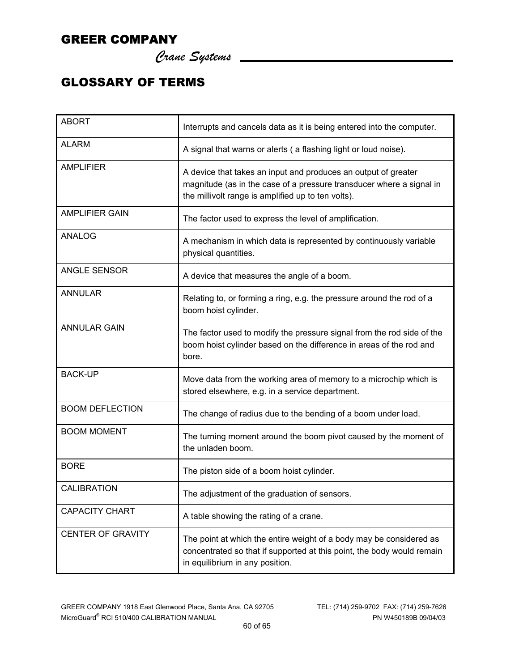*Crane Systems* 

# GLOSSARY OF TERMS

| <b>ABORT</b>             | Interrupts and cancels data as it is being entered into the computer.                                                                                                                        |
|--------------------------|----------------------------------------------------------------------------------------------------------------------------------------------------------------------------------------------|
| <b>ALARM</b>             | A signal that warns or alerts ( a flashing light or loud noise).                                                                                                                             |
| <b>AMPLIFIER</b>         | A device that takes an input and produces an output of greater<br>magnitude (as in the case of a pressure transducer where a signal in<br>the millivolt range is amplified up to ten volts). |
| <b>AMPLIFIER GAIN</b>    | The factor used to express the level of amplification.                                                                                                                                       |
| ANALOG                   | A mechanism in which data is represented by continuously variable<br>physical quantities.                                                                                                    |
| <b>ANGLE SENSOR</b>      | A device that measures the angle of a boom.                                                                                                                                                  |
| <b>ANNULAR</b>           | Relating to, or forming a ring, e.g. the pressure around the rod of a<br>boom hoist cylinder.                                                                                                |
| <b>ANNULAR GAIN</b>      | The factor used to modify the pressure signal from the rod side of the<br>boom hoist cylinder based on the difference in areas of the rod and<br>bore.                                       |
| <b>BACK-UP</b>           | Move data from the working area of memory to a microchip which is<br>stored elsewhere, e.g. in a service department.                                                                         |
| <b>BOOM DEFLECTION</b>   | The change of radius due to the bending of a boom under load.                                                                                                                                |
| <b>BOOM MOMENT</b>       | The turning moment around the boom pivot caused by the moment of<br>the unladen boom.                                                                                                        |
| <b>BORE</b>              | The piston side of a boom hoist cylinder.                                                                                                                                                    |
| <b>CALIBRATION</b>       | The adjustment of the graduation of sensors.                                                                                                                                                 |
| <b>CAPACITY CHART</b>    | A table showing the rating of a crane.                                                                                                                                                       |
| <b>CENTER OF GRAVITY</b> | The point at which the entire weight of a body may be considered as<br>concentrated so that if supported at this point, the body would remain<br>in equilibrium in any position.             |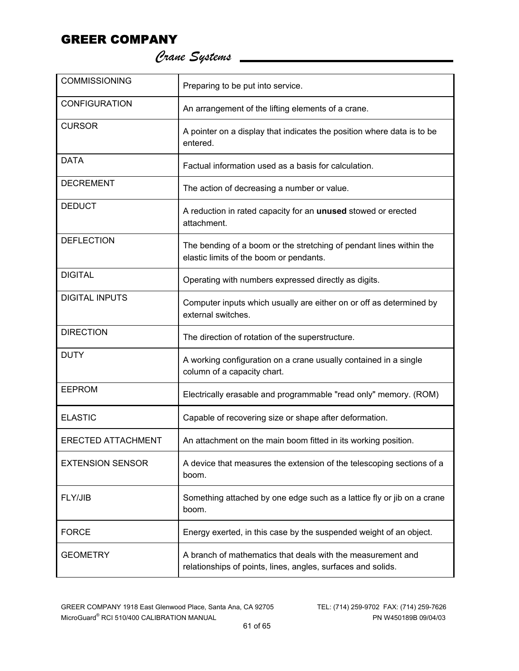*Crane Systems* 

| <b>COMMISSIONING</b>      | Preparing to be put into service.                                                                                           |
|---------------------------|-----------------------------------------------------------------------------------------------------------------------------|
| <b>CONFIGURATION</b>      | An arrangement of the lifting elements of a crane.                                                                          |
| <b>CURSOR</b>             | A pointer on a display that indicates the position where data is to be<br>entered.                                          |
| <b>DATA</b>               | Factual information used as a basis for calculation.                                                                        |
| <b>DECREMENT</b>          | The action of decreasing a number or value.                                                                                 |
| <b>DEDUCT</b>             | A reduction in rated capacity for an unused stowed or erected<br>attachment.                                                |
| <b>DEFLECTION</b>         | The bending of a boom or the stretching of pendant lines within the<br>elastic limits of the boom or pendants.              |
| <b>DIGITAL</b>            | Operating with numbers expressed directly as digits.                                                                        |
| <b>DIGITAL INPUTS</b>     | Computer inputs which usually are either on or off as determined by<br>external switches.                                   |
| <b>DIRECTION</b>          | The direction of rotation of the superstructure.                                                                            |
| <b>DUTY</b>               | A working configuration on a crane usually contained in a single<br>column of a capacity chart.                             |
| <b>EEPROM</b>             | Electrically erasable and programmable "read only" memory. (ROM)                                                            |
| <b>ELASTIC</b>            | Capable of recovering size or shape after deformation.                                                                      |
| <b>ERECTED ATTACHMENT</b> | An attachment on the main boom fitted in its working position.                                                              |
| <b>EXTENSION SENSOR</b>   | A device that measures the extension of the telescoping sections of a<br>boom.                                              |
| FLY/JIB                   | Something attached by one edge such as a lattice fly or jib on a crane<br>boom.                                             |
| <b>FORCE</b>              | Energy exerted, in this case by the suspended weight of an object.                                                          |
| <b>GEOMETRY</b>           | A branch of mathematics that deals with the measurement and<br>relationships of points, lines, angles, surfaces and solids. |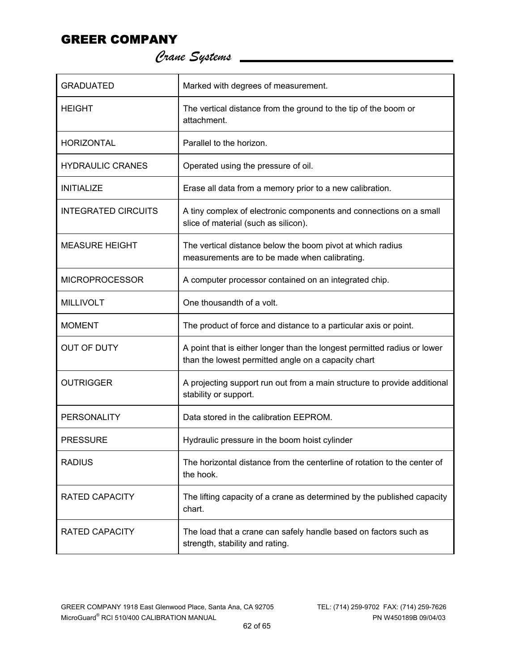*Crane Systems* 

| <b>GRADUATED</b>           | Marked with degrees of measurement.                                                                                             |
|----------------------------|---------------------------------------------------------------------------------------------------------------------------------|
| <b>HEIGHT</b>              | The vertical distance from the ground to the tip of the boom or<br>attachment.                                                  |
| <b>HORIZONTAL</b>          | Parallel to the horizon.                                                                                                        |
| <b>HYDRAULIC CRANES</b>    | Operated using the pressure of oil.                                                                                             |
| <b>INITIALIZE</b>          | Erase all data from a memory prior to a new calibration.                                                                        |
| <b>INTEGRATED CIRCUITS</b> | A tiny complex of electronic components and connections on a small<br>slice of material (such as silicon).                      |
| <b>MEASURE HEIGHT</b>      | The vertical distance below the boom pivot at which radius<br>measurements are to be made when calibrating.                     |
| <b>MICROPROCESSOR</b>      | A computer processor contained on an integrated chip.                                                                           |
| <b>MILLIVOLT</b>           | One thousandth of a volt.                                                                                                       |
| <b>MOMENT</b>              | The product of force and distance to a particular axis or point.                                                                |
| <b>OUT OF DUTY</b>         | A point that is either longer than the longest permitted radius or lower<br>than the lowest permitted angle on a capacity chart |
| <b>OUTRIGGER</b>           | A projecting support run out from a main structure to provide additional<br>stability or support.                               |
| <b>PERSONALITY</b>         | Data stored in the calibration EEPROM.                                                                                          |
| <b>PRESSURE</b>            | Hydraulic pressure in the boom hoist cylinder                                                                                   |
| <b>RADIUS</b>              | The horizontal distance from the centerline of rotation to the center of<br>the hook.                                           |
| <b>RATED CAPACITY</b>      | The lifting capacity of a crane as determined by the published capacity<br>chart.                                               |
| <b>RATED CAPACITY</b>      | The load that a crane can safely handle based on factors such as<br>strength, stability and rating.                             |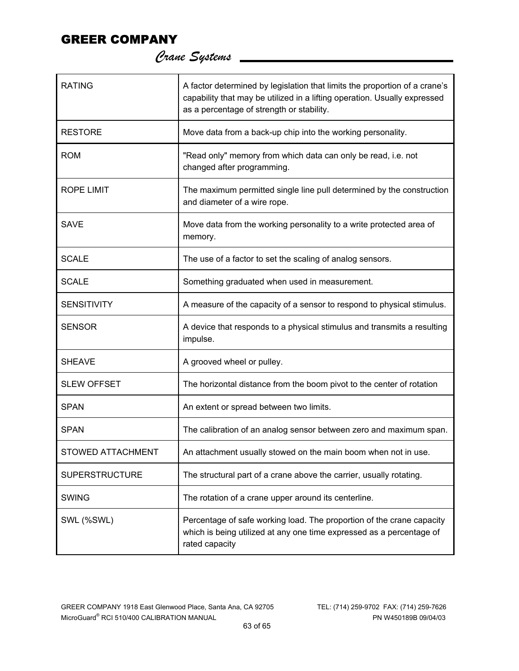| <b>RATING</b>            | A factor determined by legislation that limits the proportion of a crane's<br>capability that may be utilized in a lifting operation. Usually expressed<br>as a percentage of strength or stability. |
|--------------------------|------------------------------------------------------------------------------------------------------------------------------------------------------------------------------------------------------|
| <b>RESTORE</b>           | Move data from a back-up chip into the working personality.                                                                                                                                          |
| <b>ROM</b>               | "Read only" memory from which data can only be read, i.e. not<br>changed after programming.                                                                                                          |
| <b>ROPE LIMIT</b>        | The maximum permitted single line pull determined by the construction<br>and diameter of a wire rope.                                                                                                |
| <b>SAVE</b>              | Move data from the working personality to a write protected area of<br>memory.                                                                                                                       |
| <b>SCALE</b>             | The use of a factor to set the scaling of analog sensors.                                                                                                                                            |
| <b>SCALE</b>             | Something graduated when used in measurement.                                                                                                                                                        |
| <b>SENSITIVITY</b>       | A measure of the capacity of a sensor to respond to physical stimulus.                                                                                                                               |
| <b>SENSOR</b>            | A device that responds to a physical stimulus and transmits a resulting<br>impulse.                                                                                                                  |
| <b>SHEAVE</b>            | A grooved wheel or pulley.                                                                                                                                                                           |
| <b>SLEW OFFSET</b>       | The horizontal distance from the boom pivot to the center of rotation                                                                                                                                |
| <b>SPAN</b>              | An extent or spread between two limits.                                                                                                                                                              |
| <b>SPAN</b>              | The calibration of an analog sensor between zero and maximum span.                                                                                                                                   |
| <b>STOWED ATTACHMENT</b> | An attachment usually stowed on the main boom when not in use.                                                                                                                                       |
| <b>SUPERSTRUCTURE</b>    | The structural part of a crane above the carrier, usually rotating.                                                                                                                                  |
| <b>SWING</b>             | The rotation of a crane upper around its centerline.                                                                                                                                                 |
| SWL (%SWL)               | Percentage of safe working load. The proportion of the crane capacity<br>which is being utilized at any one time expressed as a percentage of<br>rated capacity                                      |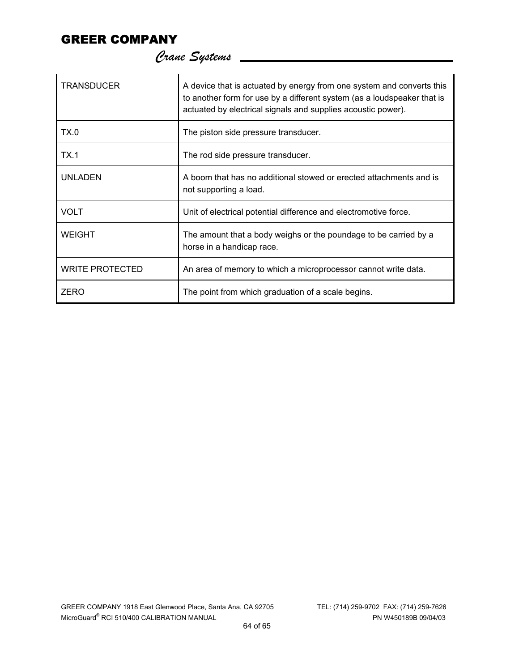| <b>TRANSDUCER</b>      | A device that is actuated by energy from one system and converts this<br>to another form for use by a different system (as a loudspeaker that is<br>actuated by electrical signals and supplies acoustic power). |
|------------------------|------------------------------------------------------------------------------------------------------------------------------------------------------------------------------------------------------------------|
| TX.0                   | The piston side pressure transducer.                                                                                                                                                                             |
| TX.1                   | The rod side pressure transducer.                                                                                                                                                                                |
| <b>UNLADEN</b>         | A boom that has no additional stowed or erected attachments and is<br>not supporting a load.                                                                                                                     |
| <b>VOLT</b>            | Unit of electrical potential difference and electromotive force.                                                                                                                                                 |
| <b>WEIGHT</b>          | The amount that a body weighs or the poundage to be carried by a<br>horse in a handicap race.                                                                                                                    |
| <b>WRITE PROTECTED</b> | An area of memory to which a microprocessor cannot write data.                                                                                                                                                   |
| <b>ZERO</b>            | The point from which graduation of a scale begins.                                                                                                                                                               |

 *Crane Systems*